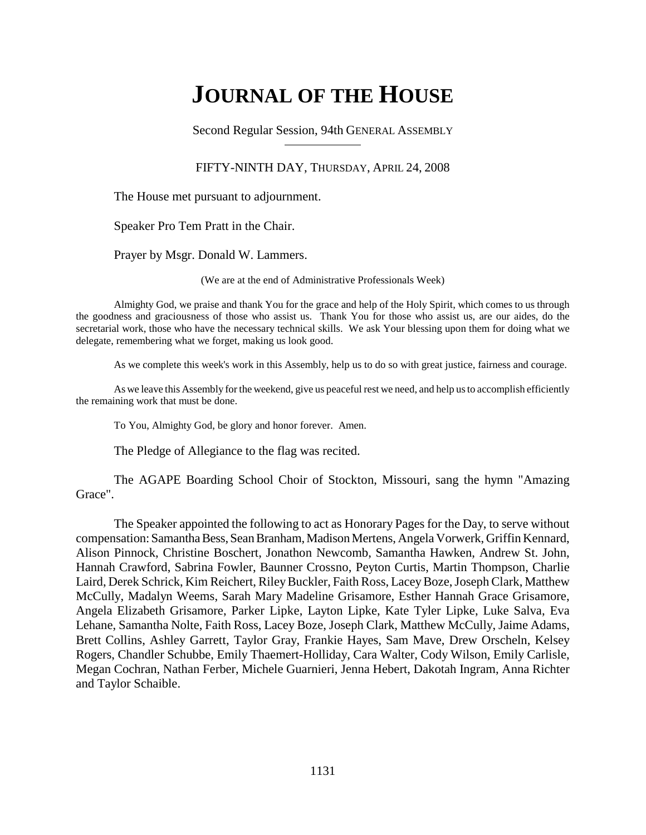# **JOURNAL OF THE HOUSE**

Second Regular Session, 94th GENERAL ASSEMBLY

### FIFTY-NINTH DAY, THURSDAY, APRIL 24, 2008

The House met pursuant to adjournment.

Speaker Pro Tem Pratt in the Chair.

Prayer by Msgr. Donald W. Lammers.

(We are at the end of Administrative Professionals Week)

Almighty God, we praise and thank You for the grace and help of the Holy Spirit, which comes to us through the goodness and graciousness of those who assist us. Thank You for those who assist us, are our aides, do the secretarial work, those who have the necessary technical skills. We ask Your blessing upon them for doing what we delegate, remembering what we forget, making us look good.

As we complete this week's work in this Assembly, help us to do so with great justice, fairness and courage.

As we leave this Assembly for the weekend, give us peaceful rest we need, and help us to accomplish efficiently the remaining work that must be done.

To You, Almighty God, be glory and honor forever. Amen.

The Pledge of Allegiance to the flag was recited.

The AGAPE Boarding School Choir of Stockton, Missouri, sang the hymn "Amazing Grace".

The Speaker appointed the following to act as Honorary Pages for the Day, to serve without compensation: Samantha Bess, Sean Branham, Madison Mertens, Angela Vorwerk, Griffin Kennard, Alison Pinnock, Christine Boschert, Jonathon Newcomb, Samantha Hawken, Andrew St. John, Hannah Crawford, Sabrina Fowler, Baunner Crossno, Peyton Curtis, Martin Thompson, Charlie Laird, Derek Schrick, Kim Reichert, Riley Buckler, Faith Ross, Lacey Boze, Joseph Clark, Matthew McCully, Madalyn Weems, Sarah Mary Madeline Grisamore, Esther Hannah Grace Grisamore, Angela Elizabeth Grisamore, Parker Lipke, Layton Lipke, Kate Tyler Lipke, Luke Salva, Eva Lehane, Samantha Nolte, Faith Ross, Lacey Boze, Joseph Clark, Matthew McCully, Jaime Adams, Brett Collins, Ashley Garrett, Taylor Gray, Frankie Hayes, Sam Mave, Drew Orscheln, Kelsey Rogers, Chandler Schubbe, Emily Thaemert-Holliday, Cara Walter, Cody Wilson, Emily Carlisle, Megan Cochran, Nathan Ferber, Michele Guarnieri, Jenna Hebert, Dakotah Ingram, Anna Richter and Taylor Schaible.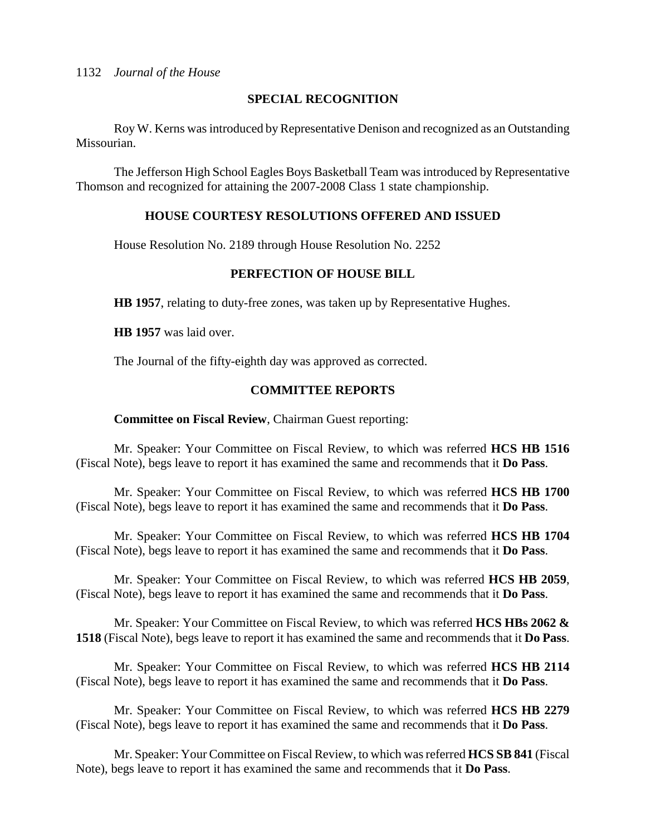### **SPECIAL RECOGNITION**

Roy W. Kerns was introduced by Representative Denison and recognized as an Outstanding Missourian.

The Jefferson High School Eagles Boys Basketball Team was introduced by Representative Thomson and recognized for attaining the 2007-2008 Class 1 state championship.

### **HOUSE COURTESY RESOLUTIONS OFFERED AND ISSUED**

House Resolution No. 2189 through House Resolution No. 2252

### **PERFECTION OF HOUSE BILL**

**HB 1957**, relating to duty-free zones, was taken up by Representative Hughes.

**HB 1957** was laid over.

The Journal of the fifty-eighth day was approved as corrected.

### **COMMITTEE REPORTS**

### **Committee on Fiscal Review**, Chairman Guest reporting:

Mr. Speaker: Your Committee on Fiscal Review, to which was referred **HCS HB 1516** (Fiscal Note), begs leave to report it has examined the same and recommends that it **Do Pass**.

Mr. Speaker: Your Committee on Fiscal Review, to which was referred **HCS HB 1700** (Fiscal Note), begs leave to report it has examined the same and recommends that it **Do Pass**.

Mr. Speaker: Your Committee on Fiscal Review, to which was referred **HCS HB 1704** (Fiscal Note), begs leave to report it has examined the same and recommends that it **Do Pass**.

Mr. Speaker: Your Committee on Fiscal Review, to which was referred **HCS HB 2059**, (Fiscal Note), begs leave to report it has examined the same and recommends that it **Do Pass**.

Mr. Speaker: Your Committee on Fiscal Review, to which was referred **HCS HBs 2062 & 1518** (Fiscal Note), begs leave to report it has examined the same and recommends that it **Do Pass**.

Mr. Speaker: Your Committee on Fiscal Review, to which was referred **HCS HB 2114** (Fiscal Note), begs leave to report it has examined the same and recommends that it **Do Pass**.

Mr. Speaker: Your Committee on Fiscal Review, to which was referred **HCS HB 2279** (Fiscal Note), begs leave to report it has examined the same and recommends that it **Do Pass**.

Mr. Speaker: Your Committee on Fiscal Review, to which was referred **HCS SB 841** (Fiscal Note), begs leave to report it has examined the same and recommends that it **Do Pass**.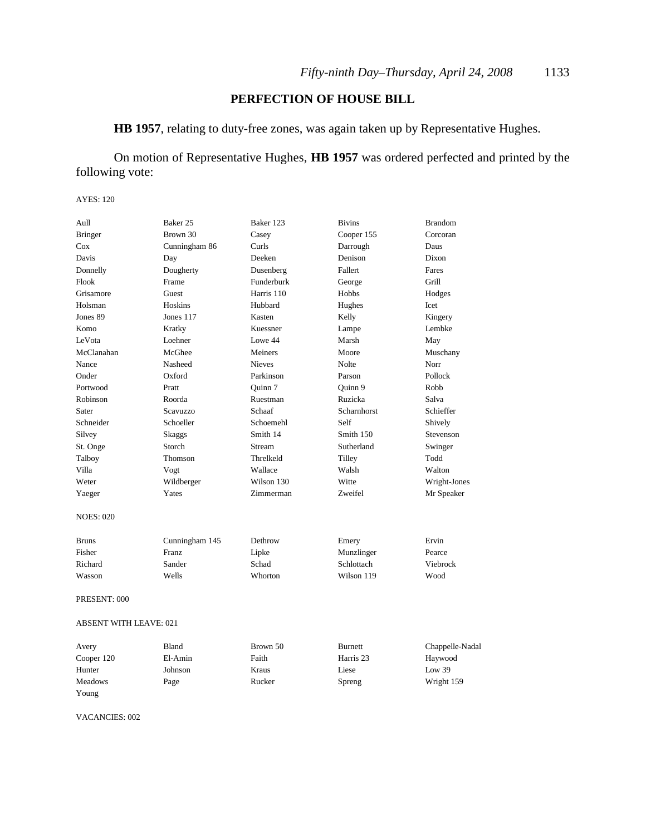### **PERFECTION OF HOUSE BILL**

**HB 1957**, relating to duty-free zones, was again taken up by Representative Hughes.

On motion of Representative Hughes, **HB 1957** was ordered perfected and printed by the following vote:

#### AYES: 120

| Aull                   | Baker 25        | Baker 123     | <b>Bivins</b>  | <b>Brandom</b>  |
|------------------------|-----------------|---------------|----------------|-----------------|
| <b>Bringer</b>         | Brown 30        | Casey         | Cooper 155     | Corcoran        |
| Cox                    | Cunningham 86   | Curls         | Darrough       | Daus            |
| Davis                  | Day             | Deeken        | Denison        | Dixon           |
| Donnelly               | Dougherty       | Dusenberg     | Fallert        | Fares           |
| Flook                  | Frame           | Funderburk    | George         | Grill           |
| Grisamore              | Guest           | Harris 110    | Hobbs          | Hodges          |
| Holsman                | Hoskins         | Hubbard       | Hughes         | Icet            |
| Jones 89               | Jones 117       | Kasten        | Kelly          | Kingery         |
| Komo                   | Kratky          | Kuessner      | Lampe          | Lembke          |
| LeVota                 | Loehner         | Lowe 44       | Marsh          | May             |
| McClanahan             | McGhee          | Meiners       | Moore          | Muschany        |
| Nance                  | Nasheed         | <b>Nieves</b> | Nolte          | Norr            |
| Onder                  | Oxford          | Parkinson     | Parson         | Pollock         |
| Portwood               | Pratt           | Ouinn 7       | Ouinn 9        | Robb            |
| <b>Robinson</b>        | Roorda          | Ruestman      | Ruzicka        | Salva           |
| Sater                  | <b>Scavuzzo</b> | Schaaf        | Scharnhorst    | Schieffer       |
| Schneider              | Schoeller       | Schoemehl     | Self           | Shively         |
| Silvey                 | Skaggs          | Smith 14      | Smith 150      | Stevenson       |
| St. Onge               | Storch          | Stream        | Sutherland     | Swinger         |
| Talboy                 | Thomson         | Threlkeld     | Tilley         | Todd            |
| Villa                  | Vogt            | Wallace       | Walsh          | Walton          |
| Weter                  | Wildberger      | Wilson 130    | Witte          | Wright-Jones    |
| Yaeger                 | Yates           | Zimmerman     | Zweifel        | Mr Speaker      |
| <b>NOES: 020</b>       |                 |               |                |                 |
| <b>Bruns</b>           | Cunningham 145  | Dethrow       | Emery          | Ervin           |
| Fisher                 | Franz           | Lipke         | Munzlinger     | Pearce          |
| Richard                | Sander          | Schad         | Schlottach     | Viebrock        |
| Wasson                 | Wells           | Whorton       | Wilson 119     | Wood            |
| PRESENT: 000           |                 |               |                |                 |
| ABSENT WITH LEAVE: 021 |                 |               |                |                 |
| Avery                  | <b>Bland</b>    | Brown 50      | <b>Burnett</b> | Chappelle-Nadal |
| Cooper 120             | El-Amin         | Faith         | Harris 23      | Haywood         |

Hunter Johnson Kraus Liese Low 39 Meadows Page Rucker Spreng Wright 159

VACANCIES: 002

Young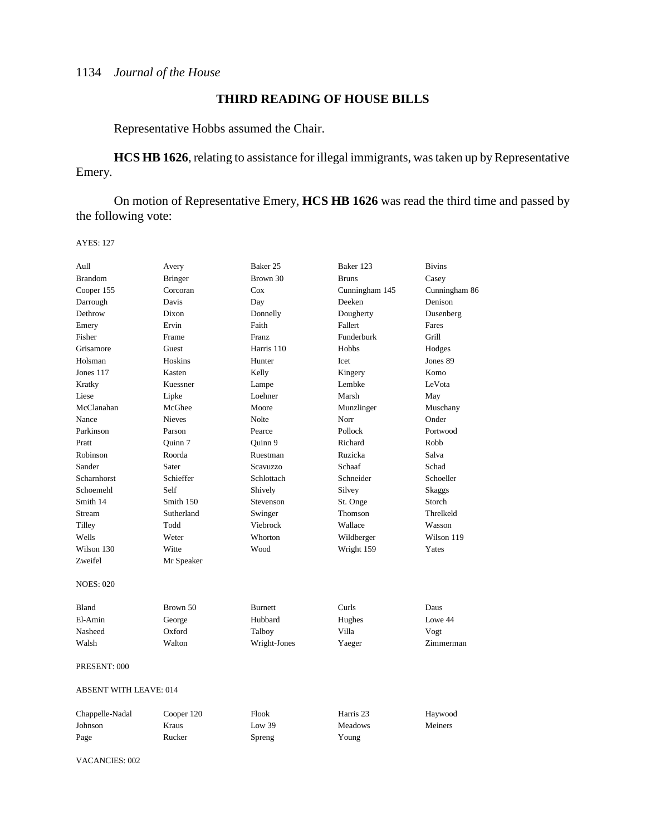### **THIRD READING OF HOUSE BILLS**

Representative Hobbs assumed the Chair.

**HCS HB 1626**, relating to assistance for illegal immigrants, was taken up by Representative Emery.

On motion of Representative Emery, **HCS HB 1626** was read the third time and passed by the following vote:

AYES: 127

| Aull                          | Avery          | Baker 25       | Baker 123      | <b>Bivins</b> |  |
|-------------------------------|----------------|----------------|----------------|---------------|--|
| <b>Brandom</b>                | <b>Bringer</b> | Brown 30       | <b>Bruns</b>   | Casey         |  |
| Cooper 155                    | Corcoran       | Cox            | Cunningham 145 | Cunningham 86 |  |
| Darrough                      | Davis          | Day            | Deeken         | Denison       |  |
| Dethrow                       | Dixon          | Donnelly       | Dougherty      | Dusenberg     |  |
| Emery                         | Ervin          | Faith          | Fallert        | Fares         |  |
| Fisher                        | Frame          | Franz          | Funderburk     | Grill         |  |
| Grisamore                     | Guest          | Harris 110     | Hobbs          | Hodges        |  |
| Holsman                       | Hoskins        | Hunter         | Icet           | Jones 89      |  |
| Jones 117                     | Kasten         | Kelly          | Kingery        | Komo          |  |
| Kratky                        | Kuessner       | Lampe          | Lembke         | LeVota        |  |
| Liese                         | Lipke          | Loehner        | Marsh          | May           |  |
| McClanahan                    | McGhee         | Moore          | Munzlinger     | Muschany      |  |
| Nance                         | <b>Nieves</b>  | Nolte          | Norr           | Onder         |  |
| Parkinson                     | Parson         | Pearce         | Pollock        | Portwood      |  |
| Pratt                         | Quinn 7        | Quinn 9        | Richard        | Robb          |  |
| Robinson                      | Roorda         | Ruestman       | Ruzicka        | Salva         |  |
| Sander                        | Sater          | Scavuzzo       | Schaaf         | Schad         |  |
| Scharnhorst                   | Schieffer      | Schlottach     | Schneider      | Schoeller     |  |
| Schoemehl                     | Self           | Shively        | Silvey         | Skaggs        |  |
| Smith 14                      | Smith 150      | Stevenson      | St. Onge       | Storch        |  |
| Stream                        | Sutherland     | Swinger        | Thomson        | Threlkeld     |  |
| Tilley                        | Todd           | Viebrock       | Wallace        | Wasson        |  |
| Wells                         | Weter          | Whorton        | Wildberger     | Wilson 119    |  |
| Wilson 130                    | Witte          | Wood           | Wright 159     | Yates         |  |
| Zweifel                       | Mr Speaker     |                |                |               |  |
| <b>NOES: 020</b>              |                |                |                |               |  |
|                               |                |                |                |               |  |
| Bland                         | Brown 50       | <b>Burnett</b> | Curls          | Daus          |  |
| El-Amin                       | George         | Hubbard        | Hughes         | Lowe 44       |  |
| Nasheed                       | Oxford         | Talboy         | Villa          | Vogt          |  |
| Walsh                         | Walton         | Wright-Jones   | Yaeger         | Zimmerman     |  |
| PRESENT: 000                  |                |                |                |               |  |
| <b>ABSENT WITH LEAVE: 014</b> |                |                |                |               |  |
| Chappelle-Nadal               | Cooper 120     | Flook          | Harris 23      | Haywood       |  |
| Johnson                       | Kraus          | Low 39         | <b>Meadows</b> | Meiners       |  |
| Page                          | Rucker         | Spreng         | Young          |               |  |
|                               |                |                |                |               |  |

VACANCIES: 002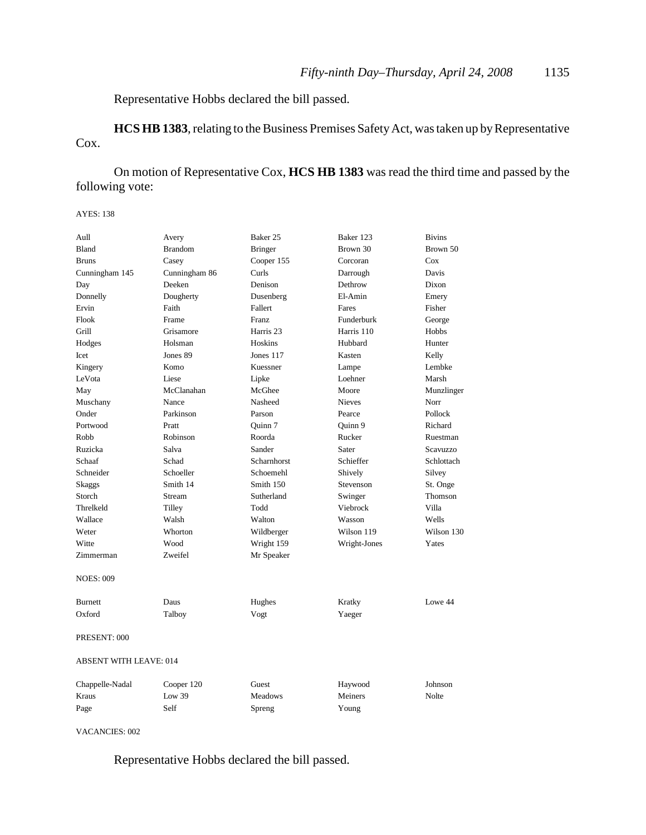Representative Hobbs declared the bill passed.

**HCS HB 1383**, relating to the Business Premises Safety Act, was taken up by Representative Cox.

On motion of Representative Cox, **HCS HB 1383** was read the third time and passed by the following vote:

AYES: 138

| Aull                          | Avery          | Baker 25       | Baker 123     | <b>Bivins</b> |
|-------------------------------|----------------|----------------|---------------|---------------|
| Bland                         | <b>Brandom</b> | <b>Bringer</b> | Brown 30      | Brown 50      |
| <b>Bruns</b>                  | Casey          | Cooper 155     | Corcoran      | Cox           |
| Cunningham 145                | Cunningham 86  | Curls          | Darrough      | Davis         |
| Day                           | Deeken         | Denison        | Dethrow       | Dixon         |
| Donnelly                      | Dougherty      | Dusenberg      | El-Amin       | Emery         |
| Ervin                         | Faith          | Fallert        | Fares         | Fisher        |
| Flook                         | Frame          | Franz          | Funderburk    | George        |
| Grill                         | Grisamore      | Harris 23      | Harris 110    | Hobbs         |
| Hodges                        | Holsman        | Hoskins        | Hubbard       | Hunter        |
| Icet                          | Jones 89       | Jones 117      | Kasten        | Kelly         |
| Kingery                       | Komo           | Kuessner       | Lampe         | Lembke        |
| LeVota                        | Liese          | Lipke          | Loehner       | Marsh         |
| May                           | McClanahan     | McGhee         | Moore         | Munzlinger    |
| Muschany                      | Nance          | Nasheed        | <b>Nieves</b> | Norr          |
| Onder                         | Parkinson      | Parson         | Pearce        | Pollock       |
| Portwood                      | Pratt          | Ouinn 7        | Quinn 9       | Richard       |
| Robb                          | Robinson       | Roorda         | Rucker        | Ruestman      |
| Ruzicka                       | Salva          | Sander         | Sater         | Scavuzzo      |
| Schaaf                        | Schad          | Scharnhorst    | Schieffer     | Schlottach    |
| Schneider                     | Schoeller      | Schoemehl      | Shively       | Silvey        |
| <b>Skaggs</b>                 | Smith 14       | Smith 150      | Stevenson     | St. Onge      |
| Storch                        | Stream         | Sutherland     | Swinger       | Thomson       |
| Threlkeld                     | Tilley         | Todd           | Viebrock      | Villa         |
| Wallace                       | Walsh          | Walton         | Wasson        | Wells         |
| Weter                         | Whorton        | Wildberger     | Wilson 119    | Wilson 130    |
| Witte                         | Wood           | Wright 159     | Wright-Jones  | Yates         |
| Zimmerman                     | Zweifel        | Mr Speaker     |               |               |
|                               |                |                |               |               |
| <b>NOES: 009</b>              |                |                |               |               |
| <b>Burnett</b>                | Daus           | Hughes         | Kratky        | Lowe 44       |
| Oxford                        | Talboy         | Vogt           | Yaeger        |               |
|                               |                |                |               |               |
| PRESENT: 000                  |                |                |               |               |
| <b>ABSENT WITH LEAVE: 014</b> |                |                |               |               |
| Chappelle-Nadal               | Cooper 120     | Guest          | Haywood       | Johnson       |
| Kraus                         | Low 39         | <b>Meadows</b> | Meiners       | Nolte         |
| Page                          | Self           | Spreng         | Young         |               |
|                               |                |                |               |               |

VACANCIES: 002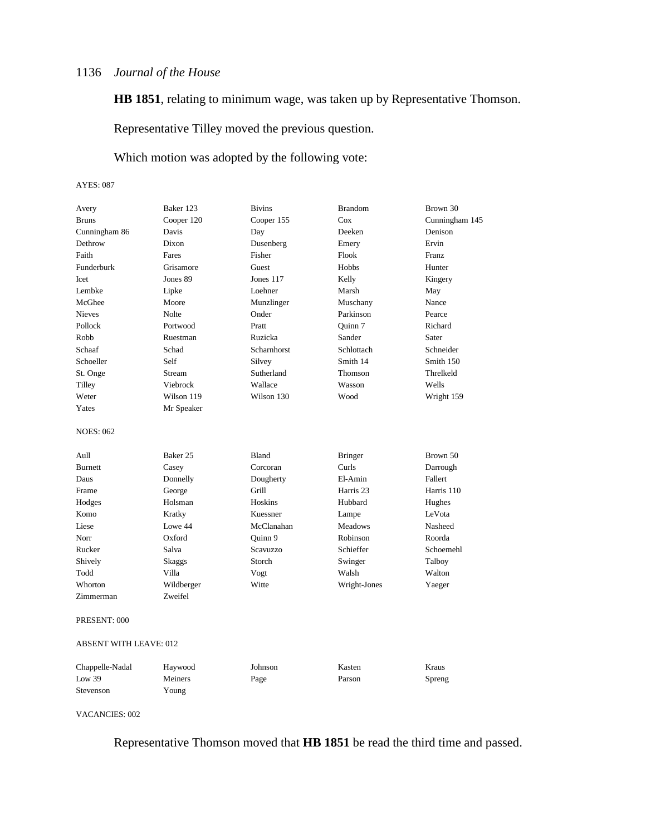**HB 1851**, relating to minimum wage, was taken up by Representative Thomson.

Representative Tilley moved the previous question.

### Which motion was adopted by the following vote:

#### AYES: 087

| Avery                  | Baker 123  | <b>Bivins</b> | <b>Brandom</b> | Brown 30       |
|------------------------|------------|---------------|----------------|----------------|
| <b>Bruns</b>           | Cooper 120 | Cooper 155    | Cox            | Cunningham 145 |
| Cunningham 86          | Davis      | Day           | Deeken         | Denison        |
| Dethrow                | Dixon      | Dusenberg     | Emery          | Ervin          |
| Faith                  | Fares      | Fisher        | Flook          | Franz          |
| Funderburk             | Grisamore  | Guest         | Hobbs          | Hunter         |
| <b>I</b> cet           | Jones 89   | Jones 117     | Kelly          | Kingery        |
| <b>Lembke</b>          | Lipke      | Loehner       | Marsh          | May            |
| McGhee                 | Moore      | Munzlinger    | Muschany       | Nance          |
| <b>Nieves</b>          | Nolte      | Onder         | Parkinson      | Pearce         |
| Pollock                | Portwood   | Pratt         | Ouinn 7        | Richard        |
| Robb                   | Ruestman   | Ruzicka       | Sander         | Sater          |
| Schaaf                 | Schad      | Scharnhorst   | Schlottach     | Schneider      |
| Schoeller              | Self       | Silvey        | Smith 14       | Smith 150      |
| St. Onge               | Stream     | Sutherland    | Thomson        | Threlkeld      |
| Tilley                 | Viebrock   | Wallace       | Wasson         | Wells          |
| Weter                  | Wilson 119 | Wilson 130    | Wood           | Wright 159     |
| Yates                  | Mr Speaker |               |                |                |
| <b>NOES: 062</b>       |            |               |                |                |
| Aull                   | Baker 25   | <b>Bland</b>  | <b>Bringer</b> | Brown 50       |
| <b>Burnett</b>         | Casey      | Corcoran      | Curls          | Darrough       |
| Daus                   | Donnelly   | Dougherty     | El-Amin        | Fallert        |
| Frame                  | George     | Grill         | Harris 23      | Harris 110     |
| Hodges                 | Holsman    | Hoskins       | Hubbard        | Hughes         |
| Komo                   | Kratky     | Kuessner      | Lampe          | LeVota         |
| Liese                  | Lowe 44    | McClanahan    | <b>Meadows</b> | Nasheed        |
| Norr                   | Oxford     | Quinn 9       | Robinson       | Roorda         |
| Rucker                 | Salva      | Scavuzzo      | Schieffer      | Schoemehl      |
| Shively                | Skaggs     | Storch        | Swinger        | Talboy         |
| Todd                   | Villa      | Vogt          | Walsh          | Walton         |
| Whorton                | Wildberger | Witte         | Wright-Jones   | Yaeger         |
| Zimmerman              | Zweifel    |               |                |                |
| PRESENT: 000           |            |               |                |                |
| ABSENT WITH LEAVE: 012 |            |               |                |                |

| Chappelle-Nadal | Havwood | Johnson | Kasten | Kraus  |
|-----------------|---------|---------|--------|--------|
| Low $39$        | Meiners | Page    | Parson | Spreng |
| Stevenson       | Young   |         |        |        |

VACANCIES: 002

Representative Thomson moved that **HB 1851** be read the third time and passed.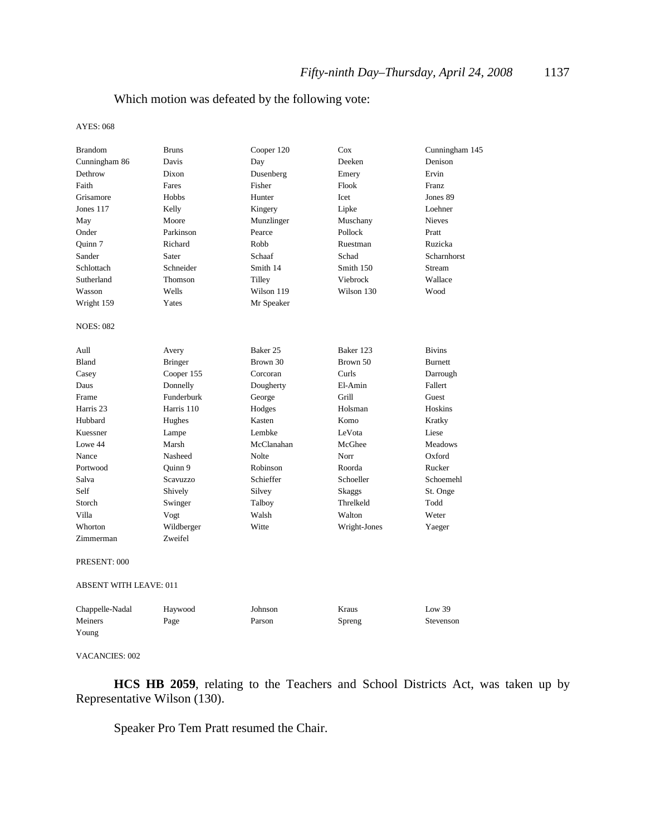### Which motion was defeated by the following vote:

AYES: 068

| <b>Brandom</b>                | <b>Bruns</b>   | Cooper 120   | Cox          | Cunningham 145 |
|-------------------------------|----------------|--------------|--------------|----------------|
| Cunningham 86                 | Davis          | Day          | Deeken       | Denison        |
| Dethrow                       | Dixon          | Dusenberg    | Emery        | Ervin          |
| Faith                         | Fares          | Fisher       | Flook        | Franz          |
| Grisamore                     | Hobbs          | Hunter       | Icet         | Jones 89       |
| Jones 117                     | Kelly          | Kingery      | Lipke        | Loehner        |
| May                           | Moore          | Munzlinger   | Muschany     | Nieves         |
| Onder                         | Parkinson      | Pearce       | Pollock      | Pratt          |
| Ouinn 7                       | Richard        | Robb         | Ruestman     | Ruzicka        |
| Sander                        | Sater          | Schaaf       | Schad        | Scharnhorst    |
| Schlottach                    | Schneider      | Smith 14     | Smith 150    | Stream         |
| Sutherland                    | Thomson        | Tilley       | Viebrock     | Wallace        |
| Wasson                        | Wells          | Wilson 119   | Wilson 130   | Wood           |
| Wright 159                    | Yates          | Mr Speaker   |              |                |
| <b>NOES: 082</b>              |                |              |              |                |
| Aull                          | Avery          | Baker 25     | Baker 123    | <b>Bivins</b>  |
| Bland                         | <b>Bringer</b> | Brown 30     | Brown 50     | <b>Burnett</b> |
| Casey                         | Cooper 155     | Corcoran     | Curls        | Darrough       |
| Daus                          | Donnelly       | Dougherty    | El-Amin      | Fallert        |
| Frame                         | Funderburk     | George       | Grill        | Guest          |
| Harris <sub>23</sub>          | Harris 110     | Hodges       | Holsman      | Hoskins        |
| Hubbard                       | Hughes         | Kasten       | Komo         | Kratky         |
| Kuessner                      | Lampe          | Lembke       | LeVota       | Liese          |
| Lowe 44                       | Marsh          | McClanahan   | McGhee       | <b>Meadows</b> |
| Nance                         | Nasheed        | <b>Nolte</b> | Norr         | Oxford         |
| Portwood                      | Ouinn 9        | Robinson     | Roorda       | Rucker         |
| Salva                         | Scavuzzo       | Schieffer    | Schoeller    | Schoemehl      |
| Self                          | Shively        | Silvey       | Skaggs       | St. Onge       |
| Storch                        | Swinger        | Talboy       | Threlkeld    | Todd           |
| Villa                         | Vogt           | Walsh        | Walton       | Weter          |
| Whorton                       | Wildberger     | Witte        | Wright-Jones | Yaeger         |
| Zimmerman                     | Zweifel        |              |              |                |
| PRESENT: 000                  |                |              |              |                |
| <b>ABSENT WITH LEAVE: 011</b> |                |              |              |                |
| Chappelle-Nadal               | Haywood        | Johnson      | Kraus        | Low 39         |
| Meiners                       | Page           | Parson       | Spreng       | Stevenson      |
| Young                         |                |              |              |                |

#### VACANCIES: 002

**HCS HB 2059**, relating to the Teachers and School Districts Act, was taken up by Representative Wilson (130).

Speaker Pro Tem Pratt resumed the Chair.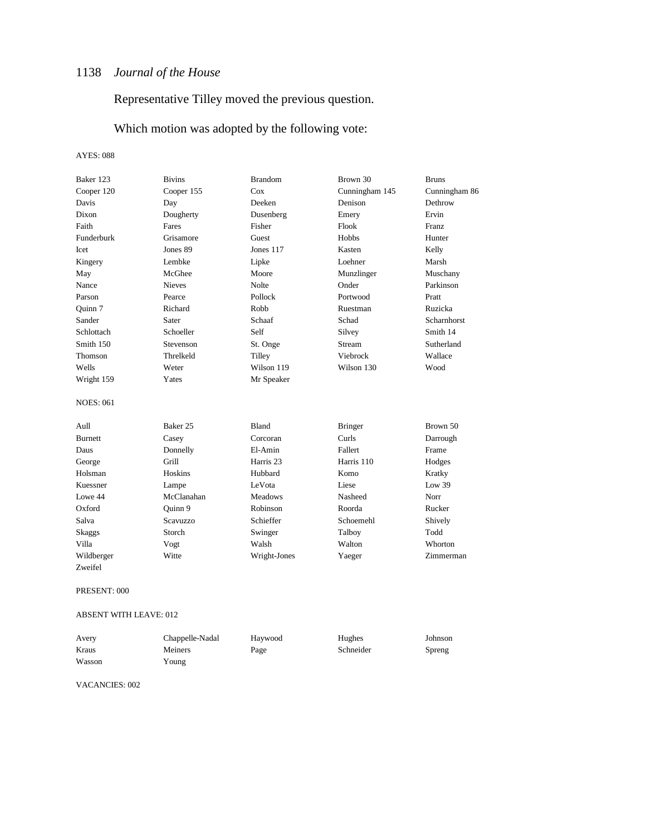Representative Tilley moved the previous question.

Which motion was adopted by the following vote:

#### AYES: 088

| Baker 123        | <b>Bivins</b>   | <b>Brandom</b> | Brown 30       | <b>Bruns</b>       |
|------------------|-----------------|----------------|----------------|--------------------|
| Cooper 120       | Cooper 155      | Cox            | Cunningham 145 | Cunningham 86      |
| Davis            | Day             | Deeken         | Denison        | Dethrow            |
| Dixon            | Dougherty       | Dusenberg      | Emery          | Ervin              |
| Faith            | Fares           | Fisher         | Flook          | Franz              |
| Funderburk       | Grisamore       | Guest          | Hobbs          | Hunter             |
| <b>Icet</b>      | Jones 89        | Jones 117      | Kasten         | Kelly              |
| Kingery          | Lembke          | Lipke          | Loehner        | Marsh              |
| May              | McGhee          | Moore          | Munzlinger     | Muschany           |
| Nance            | <b>Nieves</b>   | <b>Nolte</b>   | Onder          | Parkinson          |
| Parson           | Pearce          | Pollock        | Portwood       | Pratt              |
| Ouinn 7          | Richard         | Robb           | Ruestman       | Ruzicka            |
| Sander           | Sater           | Schaaf         | Schad          | <b>Scharnhorst</b> |
| Schlottach       | Schoeller       | Self           | Silvey         | Smith 14           |
| Smith 150        | Stevenson       | St. Onge       | Stream         | Sutherland         |
| Thomson          | Threlkeld       | Tilley         | Viebrock       | Wallace            |
| Wells            | Weter           | Wilson 119     | Wilson 130     | Wood               |
| Wright 159       | Yates           | Mr Speaker     |                |                    |
| <b>NOES: 061</b> |                 |                |                |                    |
| Aull             | Baker 25        | <b>Bland</b>   | <b>Bringer</b> | Brown 50           |
| <b>Burnett</b>   | Casey           | Corcoran       | Curls          | Darrough           |
| Daus             | Donnelly        | El-Amin        | Fallert        | Frame              |
| George           | Grill           | Harris 23      | Harris 110     | Hodges             |
| Holsman          | Hoskins         | Hubbard        | Komo           | Kratky             |
| Kuessner         | Lampe           | LeVota         | Liese          | Low 39             |
| Lowe 44          | McClanahan      | <b>Meadows</b> | Nasheed        | Norr               |
| Oxford           | Ouinn 9         | Robinson       | Roorda         | Rucker             |
| Salva            | <b>Scavuzzo</b> | Schieffer      | Schoemehl      | Shively            |
| Skaggs           | Storch          | Swinger        | Talboy         | Todd               |
| Villa            | Vogt            | Walsh          | Walton         | Whorton            |
| Wildberger       | Witte           | Wright-Jones   | Yaeger         | Zimmerman          |
| Zweifel          |                 |                |                |                    |

PRESENT: 000

#### ABSENT WITH LEAVE: 012

| Avery  | Chappelle-Nadal | Haywood | Hughes    | Johnson |
|--------|-----------------|---------|-----------|---------|
| Kraus  | Meiners         | Page    | Schneider | Spreng  |
| Wasson | Young           |         |           |         |

VACANCIES: 002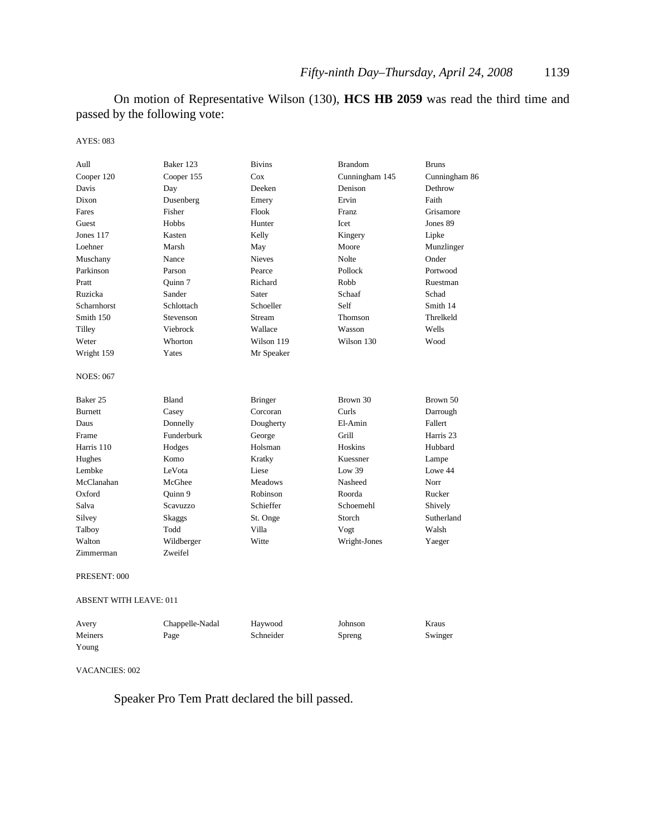On motion of Representative Wilson (130), **HCS HB 2059** was read the third time and passed by the following vote:

#### AYES: 083

| Aull                          | Baker 123  | <b>Bivins</b>  | <b>Brandom</b> | <b>Bruns</b>  |  |
|-------------------------------|------------|----------------|----------------|---------------|--|
| Cooper 120                    | Cooper 155 | Cox            | Cunningham 145 | Cunningham 86 |  |
| Davis                         | Day        | Deeken         | Denison        | Dethrow       |  |
| Dixon                         | Dusenberg  | Emery          | Ervin          | Faith         |  |
| Fares                         | Fisher     | Flook          | Franz          | Grisamore     |  |
| Guest                         | Hobbs      | Hunter         | Icet           | Jones 89      |  |
| Jones 117                     | Kasten     | Kelly          | Kingery        | Lipke         |  |
| Loehner                       | Marsh      | May            | Moore          | Munzlinger    |  |
| Muschany                      | Nance      | <b>Nieves</b>  | Nolte          | Onder         |  |
| Parkinson                     | Parson     | Pearce         | Pollock        | Portwood      |  |
| Pratt                         | Quinn 7    | Richard        | Robb           | Ruestman      |  |
| Ruzicka                       | Sander     | Sater          | Schaaf         | Schad         |  |
| Scharnhorst                   | Schlottach | Schoeller      | Self           | Smith 14      |  |
| Smith 150                     | Stevenson  | Stream         | Thomson        | Threlkeld     |  |
| Tilley                        | Viebrock   | Wallace        | Wasson         | Wells         |  |
| Weter                         | Whorton    | Wilson 119     | Wilson 130     | Wood          |  |
| Wright 159                    | Yates      | Mr Speaker     |                |               |  |
| <b>NOES: 067</b>              |            |                |                |               |  |
| Baker 25                      | Bland      | <b>Bringer</b> | Brown 30       | Brown 50      |  |
| <b>Burnett</b>                | Casey      | Corcoran       | Curls          | Darrough      |  |
| Daus                          | Donnelly   | Dougherty      | El-Amin        | Fallert       |  |
| Frame                         | Funderburk | George         | Grill          | Harris 23     |  |
| Harris 110                    | Hodges     | Holsman        | Hoskins        | Hubbard       |  |
| Hughes                        | Komo       | Kratky         | Kuessner       | Lampe         |  |
| Lembke                        | LeVota     | Liese          | Low $39$       | Lowe 44       |  |
| McClanahan                    | McGhee     | <b>Meadows</b> | Nasheed        | Norr          |  |
| Oxford                        | Ouinn 9    | Robinson       | Roorda         | Rucker        |  |
| Salva                         | Scavuzzo   | Schieffer      | Schoemehl      | Shively       |  |
| Silvey                        | Skaggs     | St. Onge       | Storch         | Sutherland    |  |
| Talboy                        | Todd       | Villa          | Vogt           | Walsh         |  |
| Walton                        | Wildberger | Witte          | Wright-Jones   | Yaeger        |  |
| Zimmerman                     | Zweifel    |                |                |               |  |
| PRESENT: 000                  |            |                |                |               |  |
| <b>ABSENT WITH LEAVE: 011</b> |            |                |                |               |  |

| Avery   | Chappelle-Nadal | Havwood   | Johnson | Kraus   |
|---------|-----------------|-----------|---------|---------|
| Meiners | Page            | Schneider | Spreng  | Swinger |
| Young   |                 |           |         |         |

#### VACANCIES: 002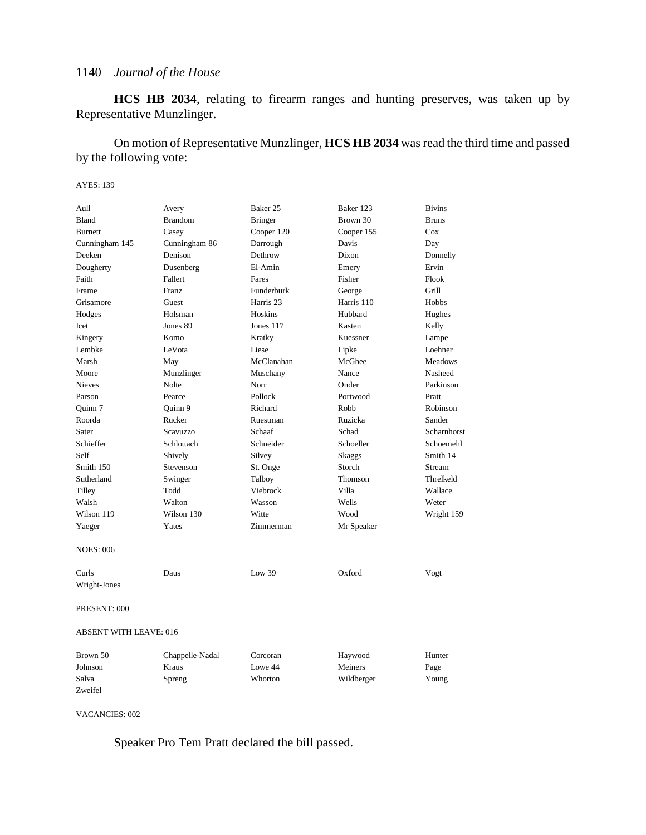**HCS HB 2034**, relating to firearm ranges and hunting preserves, was taken up by Representative Munzlinger.

On motion of Representative Munzlinger, **HCS HB 2034** was read the third time and passed by the following vote:

#### AYES: 139

| Aull                          | Avery           | Baker 25       | Baker 123  | <b>Bivins</b>                     |
|-------------------------------|-----------------|----------------|------------|-----------------------------------|
| Bland                         | <b>Brandom</b>  | <b>Bringer</b> | Brown 30   | <b>Bruns</b>                      |
| <b>Burnett</b>                | Casey           | Cooper 120     | Cooper 155 | Cox                               |
| Cunningham 145                | Cunningham 86   | Darrough       | Davis      | Day                               |
| Deeken                        | Denison         | Dethrow        | Dixon      | Donnelly                          |
| Dougherty                     | Dusenberg       | El-Amin        | Emery      | Ervin                             |
| Faith                         | Fallert         | Fares          | Fisher     | Flook                             |
| Frame                         | Franz           | Funderburk     | George     | Grill                             |
| Grisamore                     | Guest           | Harris 23      | Harris 110 | Hobbs                             |
| Hodges                        | Holsman         | Hoskins        | Hubbard    | Hughes                            |
| Icet                          | Jones 89        | Jones 117      | Kasten     | Kelly                             |
| Kingery                       | Komo            | Kratky         | Kuessner   | Lampe                             |
| Lembke                        | LeVota          | Liese          | Lipke      | Loehner                           |
| Marsh                         | May             | McClanahan     | McGhee     | <b>Meadows</b>                    |
| Moore                         | Munzlinger      | Muschany       | Nance      | Nasheed                           |
| <b>Nieves</b>                 | <b>Nolte</b>    | Norr           | Onder      | Parkinson                         |
| Parson                        | Pearce          | Pollock        | Portwood   | Pratt                             |
| Quinn 7                       | Quinn 9         | Richard        | Robb       | Robinson                          |
| Roorda                        | Rucker          | Ruestman       | Ruzicka    | Sander                            |
| Sater                         | Scavuzzo        | Schaaf         | Schad      | Scharnhorst                       |
| Schieffer                     | Schlottach      | Schneider      | Schoeller  | Schoemehl                         |
| Self                          | Shively         | Silvey         | Skaggs     | Smith 14                          |
| Smith 150                     | Stevenson       | St. Onge       | Storch     | Stream                            |
| Sutherland                    | Swinger         | Talboy         | Thomson    | Threlkeld                         |
| Tilley                        | Todd            | Viebrock       | Villa      | Wallace                           |
| Walsh                         | Walton          | Wasson         | Wells      | Weter                             |
| Wilson 119                    | Wilson 130      | Witte          | Wood       | Wright 159                        |
| Yaeger                        | Yates           | Zimmerman      | Mr Speaker |                                   |
| <b>NOES: 006</b>              |                 |                |            |                                   |
| Curls                         | Daus            | Low $39$       | Oxford     | Vogt                              |
| Wright-Jones                  |                 |                |            |                                   |
| PRESENT: 000                  |                 |                |            |                                   |
| <b>ABSENT WITH LEAVE: 016</b> |                 |                |            |                                   |
| Brown 50                      | Chappelle-Nadal | Corcoran       | Haywood    | Hunter                            |
| $I_0$ hne $\alpha$ n          | Krone           | $I \alpha$     | Meinerc    | $\mathbf{p}_{\alpha\alpha\alpha}$ |

| DIUWII JU | Chappelle-Naual | Corcorair | <b>Haywood</b> | пишен |
|-----------|-----------------|-----------|----------------|-------|
| Johnson   | Kraus           | Lowe 44   | Meiners        | Page  |
| Salva     | Spreng          | Whorton   | Wildberger     | Young |
| Zweifel   |                 |           |                |       |

VACANCIES: 002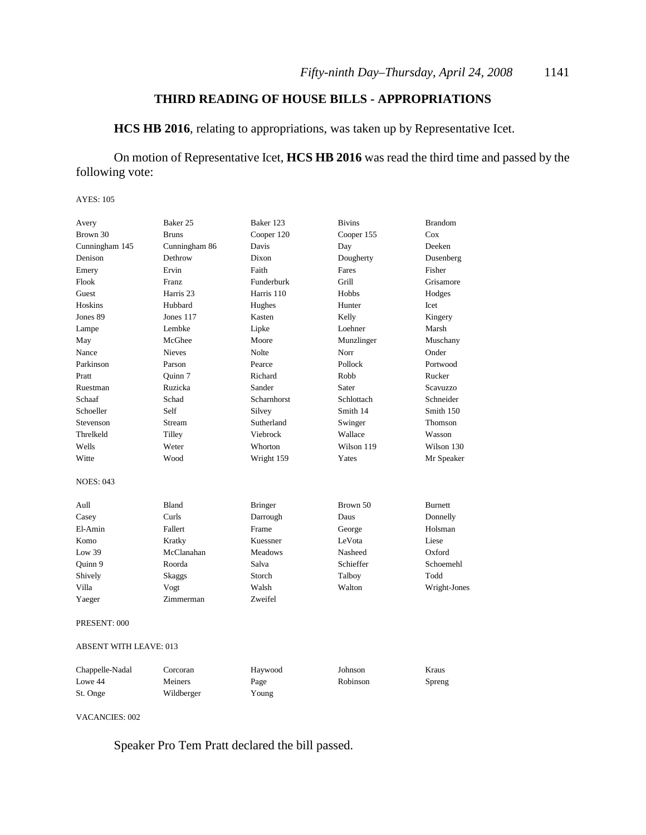### **THIRD READING OF HOUSE BILLS - APPROPRIATIONS**

**HCS HB 2016**, relating to appropriations, was taken up by Representative Icet.

### On motion of Representative Icet, **HCS HB 2016** was read the third time and passed by the following vote:

#### AYES: 105

| Avery                         | Baker 25      | Baker 123      | <b>Bivins</b> | <b>Brandom</b>  |
|-------------------------------|---------------|----------------|---------------|-----------------|
| Brown 30                      | <b>Bruns</b>  | Cooper 120     | Cooper 155    | Cox             |
| Cunningham 145                | Cunningham 86 | Davis          | Day           | Deeken          |
| Denison                       | Dethrow       | Dixon          | Dougherty     | Dusenberg       |
| Emery                         | Ervin         | Faith          | Fares         | Fisher          |
| Flook                         | Franz         | Funderburk     | Grill         | Grisamore       |
| Guest                         | Harris 23     | Harris 110     | Hobbs         | Hodges          |
| <b>Hoskins</b>                | Hubbard       | Hughes         | Hunter        | Icet            |
| Jones 89                      | Jones 117     | Kasten         | Kelly         | Kingery         |
| Lampe                         | Lembke        | Lipke          | Loehner       | Marsh           |
| May                           | McGhee        | Moore          | Munzlinger    | Muschany        |
| Nance                         | <b>Nieves</b> | <b>Nolte</b>   | Norr          | Onder           |
| Parkinson                     | Parson        | Pearce         | Pollock       | Portwood        |
| Pratt                         | Ouinn 7       | Richard        | Robb          | Rucker          |
| Ruestman                      | Ruzicka       | Sander         | Sater         | <b>Scavuzzo</b> |
| Schaaf                        | Schad         | Scharnhorst    | Schlottach    | Schneider       |
| Schoeller                     | Self          | Silvey         | Smith 14      | Smith 150       |
| Stevenson                     | Stream        | Sutherland     | Swinger       | <b>Thomson</b>  |
| Threlkeld                     | Tilley        | Viebrock       | Wallace       | Wasson          |
| Wells                         | Weter         | Whorton        | Wilson 119    | Wilson 130      |
| Witte                         | Wood          | Wright 159     | Yates         | Mr Speaker      |
| <b>NOES: 043</b>              |               |                |               |                 |
| Aull                          | Bland         | <b>Bringer</b> | Brown 50      | <b>Burnett</b>  |
| Casey                         | Curls         | Darrough       | Daus          | Donnelly        |
| El-Amin                       | Fallert       | Frame          | George        | Holsman         |
| Komo                          | Kratky        | Kuessner       | LeVota        | Liese           |
| Low 39                        | McClanahan    | <b>Meadows</b> | Nasheed       | Oxford          |
| Quinn 9                       | Roorda        | Salva          | Schieffer     | Schoemehl       |
| Shively                       | Skaggs        | Storch         | Talboy        | Todd            |
| Villa                         | Vogt          | Walsh          | Walton        | Wright-Jones    |
| Yaeger                        | Zimmerman     | Zweifel        |               |                 |
| PRESENT: 000                  |               |                |               |                 |
| <b>ABSENT WITH LEAVE: 013</b> |               |                |               |                 |

| Chappelle-Nadal | Corcoran   | Haywood | Johnson  | Kraus  |
|-----------------|------------|---------|----------|--------|
| Lowe 44         | Meiners    | Page    | Robinson | Spreng |
| St. Onge        | Wildberger | Young   |          |        |

#### VACANCIES: 002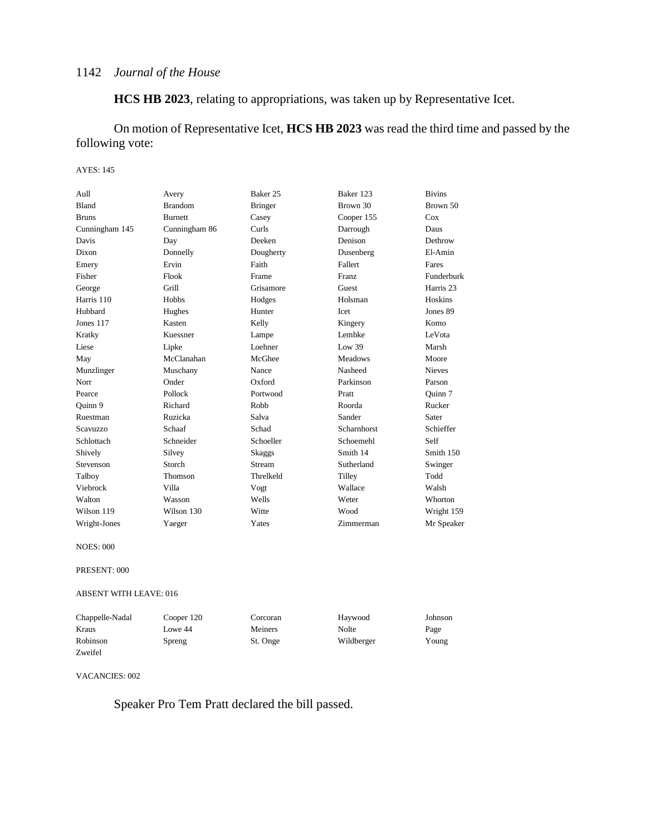**HCS HB 2023**, relating to appropriations, was taken up by Representative Icet.

On motion of Representative Icet, **HCS HB 2023** was read the third time and passed by the following vote:

#### AYES: 145

| Aull            | Avery          | Baker 25       | Baker 123          | <b>Bivins</b> |
|-----------------|----------------|----------------|--------------------|---------------|
| <b>Bland</b>    | <b>Brandom</b> | <b>Bringer</b> | Brown 30           | Brown 50      |
| <b>Bruns</b>    | <b>Burnett</b> | Casey          | Cooper 155         | Cox           |
| Cunningham 145  | Cunningham 86  | <b>Curls</b>   | Darrough           | Daus          |
| Davis           | Day            | Deeken         | Denison            | Dethrow       |
| Dixon           | Donnelly       | Dougherty      | Dusenberg          | El-Amin       |
| Emery           | Ervin          | Faith          | Fallert            | Fares         |
| Fisher          | Flook          | Frame          | Franz              | Funderburk    |
| George          | Grill          | Grisamore      | Guest              | Harris 23     |
| Harris 110      | <b>Hobbs</b>   | Hodges         | Holsman            | Hoskins       |
| Hubbard         | Hughes         | Hunter         | <b>I</b> cet       | Jones 89      |
| Jones 117       | Kasten         | Kelly          | Kingery            | Komo          |
| Kratky          | Kuessner       | Lampe          | Lembke             | LeVota        |
| Liese           | Lipke          | Loehner        | Low 39             | Marsh         |
| May             | McClanahan     | McGhee         | <b>Meadows</b>     | Moore         |
| Munzlinger      | Muschany       | Nance          | Nasheed            | <b>Nieves</b> |
| Norr            | Onder          | Oxford         | Parkinson          | Parson        |
| Pearce          | Pollock        | Portwood       | Pratt              | Quinn 7       |
| Ouinn 9         | Richard        | Robb           | Roorda             | Rucker        |
| Ruestman        | Ruzicka        | Salva          | Sander             | Sater         |
| <b>Scavuzzo</b> | Schaaf         | Schad          | <b>Scharnhorst</b> | Schieffer     |
| Schlottach      | Schneider      | Schoeller      | Schoemehl          | Self          |
| Shively         | Silvey         | Skaggs         | Smith 14           | Smith 150     |
| Stevenson       | Storch         | Stream         | Sutherland         | Swinger       |
| Talboy          | <b>Thomson</b> | Threlkeld      | Tilley             | Todd          |
| Viebrock        | Villa          | Vogt           | Wallace            | Walsh         |
| Walton          | Wasson         | Wells          | Weter              | Whorton       |
| Wilson 119      | Wilson 130     | Witte          | Wood               | Wright 159    |
| Wright-Jones    | Yaeger         | Yates          | Zimmerman          | Mr Speaker    |

NOES: 000

#### PRESENT: 000

ABSENT WITH LEAVE: 016

| Chappelle-Nadal | Cooper 120 | Corcoran | Haywood    | Johnson |
|-----------------|------------|----------|------------|---------|
| Kraus           | Lowe 44    | Meiners  | Nolte      | Page    |
| Robinson        | Spreng     | St. Onge | Wildberger | Young   |
| Zweifel         |            |          |            |         |

#### VACANCIES: 002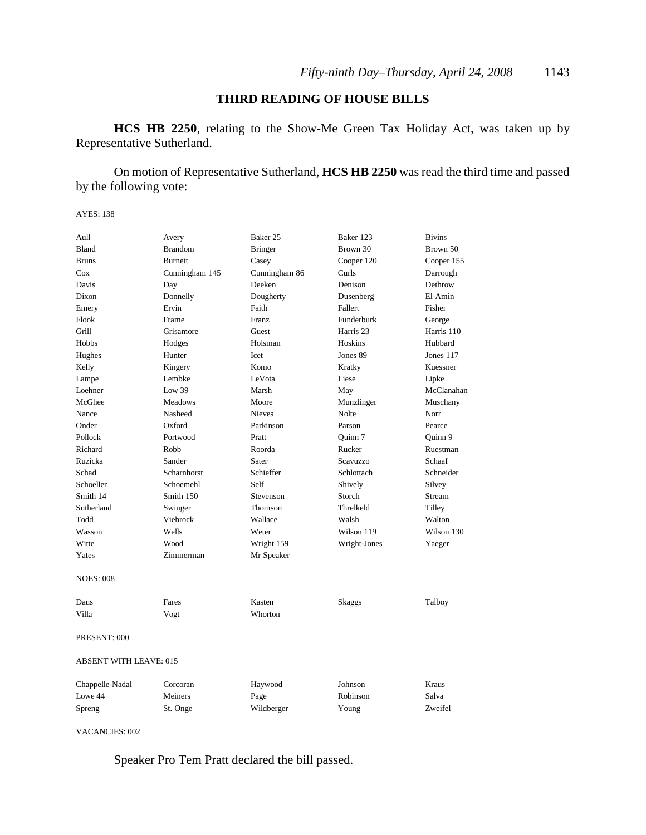### **THIRD READING OF HOUSE BILLS**

**HCS HB 2250**, relating to the Show-Me Green Tax Holiday Act, was taken up by Representative Sutherland.

On motion of Representative Sutherland, **HCS HB 2250** was read the third time and passed by the following vote:

AYES: 138

| Aull                          | Avery          | Baker 25       | Baker 123    | <b>Bivins</b> |
|-------------------------------|----------------|----------------|--------------|---------------|
| Bland                         | <b>Brandom</b> | <b>Bringer</b> | Brown 30     | Brown 50      |
| <b>Bruns</b>                  | <b>Burnett</b> | Casey          | Cooper 120   | Cooper 155    |
| Cox                           | Cunningham 145 | Cunningham 86  | Curls        | Darrough      |
| Davis                         | Day            | Deeken         | Denison      | Dethrow       |
| Dixon                         | Donnelly       | Dougherty      | Dusenberg    | El-Amin       |
| Emery                         | Ervin          | Faith          | Fallert      | Fisher        |
| Flook                         | Frame          | <b>Franz</b>   | Funderburk   | George        |
| Grill                         | Grisamore      | Guest          | Harris 23    | Harris 110    |
| Hobbs                         | Hodges         | Holsman        | Hoskins      | Hubbard       |
| Hughes                        | Hunter         | <b>Icet</b>    | Jones 89     | Jones $117$   |
| Kelly                         | Kingery        | Komo           | Kratky       | Kuessner      |
| Lampe                         | Lembke         | LeVota         | Liese        | Lipke         |
| Loehner                       | Low 39         | Marsh          | May          | McClanahan    |
| McGhee                        | <b>Meadows</b> | Moore          | Munzlinger   | Muschany      |
| Nance                         | Nasheed        | <b>Nieves</b>  | Nolte        | Norr          |
| Onder                         | Oxford         | Parkinson      | Parson       | Pearce        |
| Pollock                       | Portwood       | Pratt          | Ouinn 7      | Ouinn 9       |
| Richard                       | Robb           | Roorda         | Rucker       | Ruestman      |
| Ruzicka                       | Sander         | Sater          | Scavuzzo     | Schaaf        |
| Schad                         | Scharnhorst    | Schieffer      | Schlottach   | Schneider     |
| Schoeller                     | Schoemehl      | Self           | Shively      | Silvey        |
| Smith 14                      | Smith 150      | Stevenson      | Storch       | Stream        |
| Sutherland                    | Swinger        | Thomson        | Threlkeld    | Tilley        |
| Todd                          | Viebrock       | Wallace        | Walsh        | Walton        |
| Wasson                        | Wells          | Weter          | Wilson 119   | Wilson 130    |
| Witte                         | Wood           | Wright 159     | Wright-Jones | Yaeger        |
| Yates                         | Zimmerman      | Mr Speaker     |              |               |
| <b>NOES: 008</b>              |                |                |              |               |
| Daus                          | Fares          | Kasten         | Skaggs       | Talboy        |
| Villa                         | Vogt           | Whorton        |              |               |
| PRESENT: 000                  |                |                |              |               |
| <b>ABSENT WITH LEAVE: 015</b> |                |                |              |               |
| Chappelle-Nadal               | Corcoran       | Haywood        | Johnson      | Kraus         |
| Lowe 44                       | Meiners        | Page           | Robinson     | Salva         |
| Spreng                        | St. Onge       | Wildberger     | Young        | Zweifel       |

VACANCIES: 002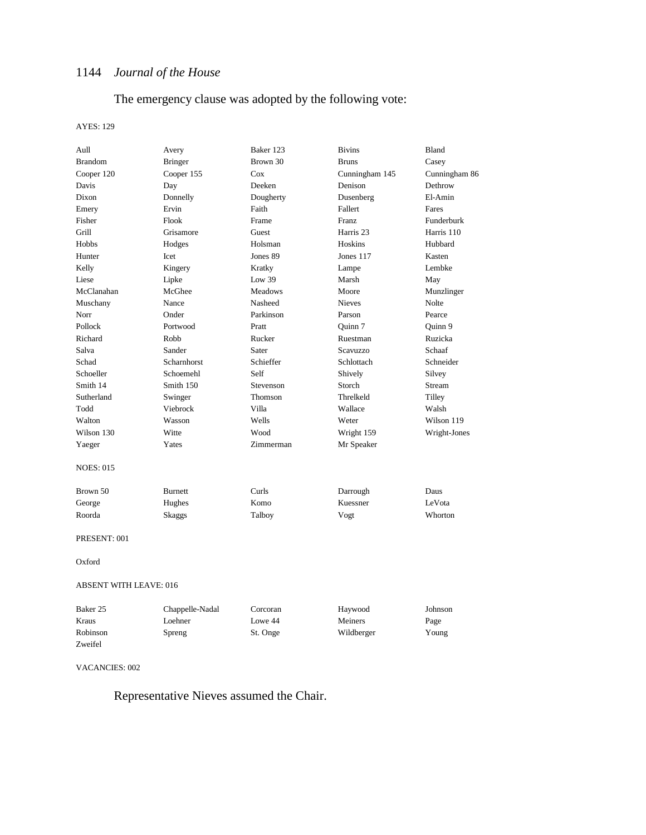The emergency clause was adopted by the following vote:

#### AYES: 129

| Aull                          | Avery           | Baker 123      | <b>Bivins</b>  | Bland         |
|-------------------------------|-----------------|----------------|----------------|---------------|
| <b>Brandom</b>                | <b>Bringer</b>  | Brown 30       | <b>Bruns</b>   | Casey         |
| Cooper 120                    | Cooper 155      | Cox            | Cunningham 145 | Cunningham 86 |
| Davis                         | Day             | Deeken         | Denison        | Dethrow       |
| Dixon                         | Donnelly        | Dougherty      | Dusenberg      | El-Amin       |
| Emery                         | Ervin           | Faith          | Fallert        | Fares         |
| Fisher                        | Flook           | Frame          | Franz          | Funderburk    |
| Grill                         | Grisamore       | Guest          | Harris 23      | Harris 110    |
| Hobbs                         | Hodges          | Holsman        | Hoskins        | Hubbard       |
| Hunter                        | Icet            | Jones 89       | Jones 117      | Kasten        |
| Kelly                         | Kingery         | Kratky         | Lampe          | Lembke        |
| Liese                         | Lipke           | Low $39$       | Marsh          | May           |
| McClanahan                    | McGhee          | <b>Meadows</b> | Moore          | Munzlinger    |
| Muschany                      | Nance           | Nasheed        | <b>Nieves</b>  | Nolte         |
| Norr                          | Onder           | Parkinson      | Parson         | Pearce        |
| Pollock                       | Portwood        | Pratt          | Quinn 7        | Quinn 9       |
| Richard                       | Robb            | Rucker         | Ruestman       | Ruzicka       |
| Salva                         | Sander          | Sater          | Scavuzzo       | Schaaf        |
| Schad                         | Scharnhorst     | Schieffer      | Schlottach     | Schneider     |
| Schoeller                     | Schoemehl       | Self           | Shively        | Silvey        |
| Smith 14                      | Smith 150       | Stevenson      | Storch         | Stream        |
| Sutherland                    | Swinger         | Thomson        | Threlkeld      | Tilley        |
| Todd                          | Viebrock        | Villa          | Wallace        | Walsh         |
| Walton                        | Wasson          | Wells          | Weter          | Wilson 119    |
| Wilson 130                    | Witte           | Wood           | Wright 159     | Wright-Jones  |
| Yaeger                        | Yates           | Zimmerman      | Mr Speaker     |               |
| <b>NOES: 015</b>              |                 |                |                |               |
| Brown 50                      | <b>Burnett</b>  | Curls          | Darrough       | Daus          |
| George                        | Hughes          | Komo           | Kuessner       | LeVota        |
| Roorda                        | Skaggs          | Talboy         | Vogt           | Whorton       |
| PRESENT: 001                  |                 |                |                |               |
| Oxford                        |                 |                |                |               |
| <b>ABSENT WITH LEAVE: 016</b> |                 |                |                |               |
| Baker 25                      | Chappelle-Nadal | Corcoran       | Haywood        | Johnson       |
| Kraus                         | Loehner         | Lowe 44        | Meiners        | Page          |

#### VACANCIES: 002

Zweifel

Representative Nieves assumed the Chair.

Robinson Spreng St. Onge Wildberger Young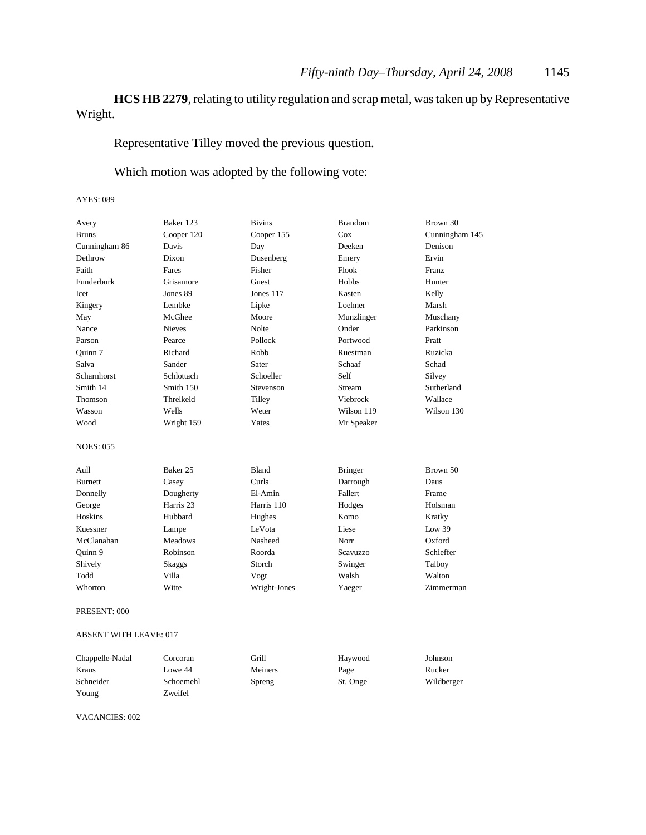### **HCS HB 2279**, relating to utility regulation and scrap metal, was taken up by Representative Wright.

Representative Tilley moved the previous question.

Which motion was adopted by the following vote:

#### AYES: 089

| Avery              | Baker 123            | <b>Bivins</b> | <b>Brandom</b> | Brown 30       |
|--------------------|----------------------|---------------|----------------|----------------|
| <b>Bruns</b>       | Cooper 120           | Cooper 155    | Cox            | Cunningham 145 |
| Cunningham 86      | Davis                | Day           | Deeken         | Denison        |
| Dethrow            | Dixon                | Dusenberg     | Emery          | Ervin          |
| Faith              | Fares                | Fisher        | Flook          | Franz          |
| Funderburk         | Grisamore            | Guest         | Hobbs          | Hunter         |
| Icet               | Jones 89             | Jones 117     | Kasten         | Kelly          |
| Kingery            | Lembke               | Lipke         | Loehner        | Marsh          |
| May                | McGhee               | Moore         | Munzlinger     | Muschany       |
| Nance              | <b>Nieves</b>        | <b>Nolte</b>  | Onder          | Parkinson      |
| Parson             | Pearce               | Pollock       | Portwood       | Pratt          |
| Quinn 7            | Richard              | Robb          | Ruestman       | Ruzicka        |
| Salva              | Sander               | Sater         | Schaaf         | Schad          |
| <b>Scharnhorst</b> | Schlottach           | Schoeller     | Self           | Silvey         |
| Smith 14           | Smith 150            | Stevenson     | Stream         | Sutherland     |
| Thomson            | Threlkeld            | Tilley        | Viebrock       | Wallace        |
| Wasson             | Wells                | Weter         | Wilson 119     | Wilson 130     |
| Wood               | Wright 159           | Yates         | Mr Speaker     |                |
| <b>NOES: 055</b>   |                      |               |                |                |
| Aull               | Baker 25             | <b>Bland</b>  | <b>Bringer</b> | Brown 50       |
| <b>Burnett</b>     | Casey                | Curls         | Darrough       | Daus           |
| Donnelly           | Dougherty            | El-Amin       | Fallert        | Frame          |
| George             | Harris <sub>23</sub> | Harris 110    | Hodges         | Holsman        |
| <b>Hoskins</b>     | Hubbard              | Hughes        | Komo           | Kratky         |
| Kuessner           | Lampe                | LeVota        | Liese          | Low 39         |
| McClanahan         | <b>Meadows</b>       | Nasheed       | Norr           | Oxford         |
| Quinn 9            | Robinson             | Roorda        | Scavuzzo       | Schieffer      |
| Shively            | Skaggs               | Storch        | Swinger        | Talboy         |
| Todd               | Villa                | Vogt          | Walsh          | Walton         |
| Whorton            | Witte                | Wright-Jones  | Yaeger         | Zimmerman      |
|                    |                      |               |                |                |

PRESENT: 000

#### ABSENT WITH LEAVE: 017

| Chappelle-Nadal | Corcoran  | Grill   | Haywood  | Johnson    |
|-----------------|-----------|---------|----------|------------|
| Kraus           | Lowe 44   | Meiners | Page     | Rucker     |
| Schneider       | Schoemehl | Spreng  | St. Onge | Wildberger |
| Young           | Zweifel   |         |          |            |

VACANCIES: 002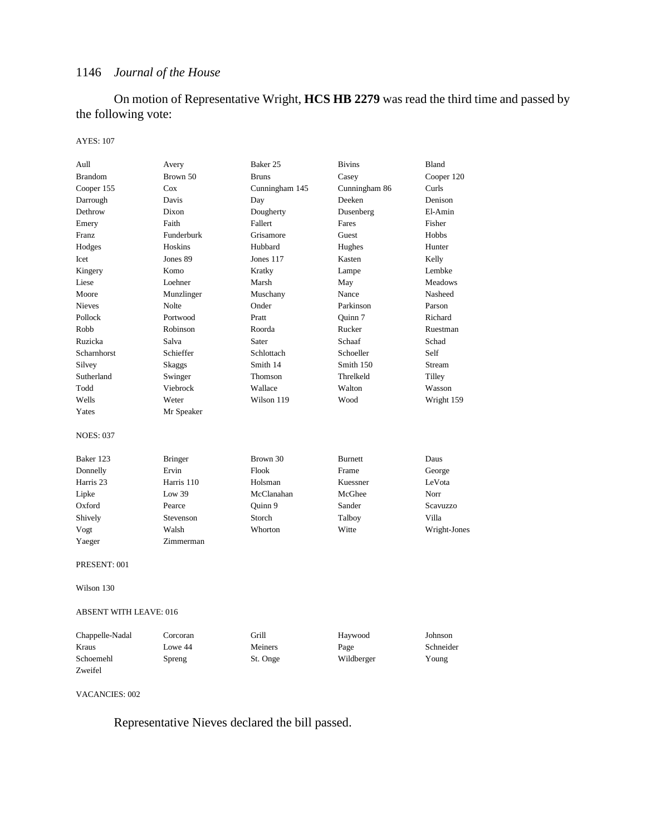On motion of Representative Wright, **HCS HB 2279** was read the third time and passed by the following vote:

#### AYES: 107

| Aull                          | Avery          | Baker 25       | <b>Bivins</b>  | Bland          |
|-------------------------------|----------------|----------------|----------------|----------------|
| <b>Brandom</b>                | Brown 50       | <b>Bruns</b>   | Casey          | Cooper 120     |
| Cooper 155                    | Cox            | Cunningham 145 | Cunningham 86  | Curls          |
| Darrough                      | Davis          | Day            | Deeken         | Denison        |
| Dethrow                       | Dixon          | Dougherty      | Dusenberg      | El-Amin        |
| Emery                         | Faith          | Fallert        | Fares          | Fisher         |
| Franz                         | Funderburk     | Grisamore      | Guest          | Hobbs          |
| Hodges                        | <b>Hoskins</b> | Hubbard        | Hughes         | Hunter         |
| Icet                          | Jones 89       | Jones 117      | Kasten         | Kelly          |
| Kingery                       | Komo           | Kratky         | Lampe          | Lembke         |
| Liese                         | Loehner        | Marsh          | May            | <b>Meadows</b> |
| Moore                         | Munzlinger     | Muschany       | Nance          | Nasheed        |
| <b>Nieves</b>                 | Nolte          | Onder          | Parkinson      | Parson         |
| Pollock                       | Portwood       | Pratt          | Ouinn 7        | Richard        |
| Robb                          | Robinson       | Roorda         | Rucker         | Ruestman       |
| Ruzicka                       | Salva          | Sater          | Schaaf         | Schad          |
| Scharnhorst                   | Schieffer      | Schlottach     | Schoeller      | Self           |
| Silvey                        | Skaggs         | Smith 14       | Smith 150      | Stream         |
| Sutherland                    | Swinger        | Thomson        | Threlkeld      | Tilley         |
| Todd                          | Viebrock       | Wallace        | Walton         | Wasson         |
| Wells                         | Weter          | Wilson 119     | Wood           | Wright 159     |
| Yates                         | Mr Speaker     |                |                |                |
| NOES: 037                     |                |                |                |                |
| Baker 123                     | <b>Bringer</b> | Brown 30       | <b>Burnett</b> | Daus           |
| Donnelly                      | Ervin          | Flook          | Frame          | George         |
| Harris 23                     | Harris 110     | Holsman        | Kuessner       | LeVota         |
| Lipke                         | Low $39$       | McClanahan     | McGhee         | Norr           |
| Oxford                        | Pearce         | Quinn 9        | Sander         | Scavuzzo       |
| Shively                       | Stevenson      | Storch         | Talboy         | Villa          |
| Vogt                          | Walsh          | Whorton        | Witte          | Wright-Jones   |
| Yaeger                        | Zimmerman      |                |                |                |
| PRESENT: 001                  |                |                |                |                |
| Wilson 130                    |                |                |                |                |
| <b>ABSENT WITH LEAVE: 016</b> |                |                |                |                |
| Chappelle-Nadal               | Corcoran       | Grill          | Haywood        | Johnson        |
| Kraus                         | Lowe 44        | Meiners        | Page           | Schneider      |
| Schoemehl                     | Spreng         | St. Onge       | Wildberger     | Young          |
| Zweifel                       |                |                |                |                |
|                               |                |                |                |                |

VACANCIES: 002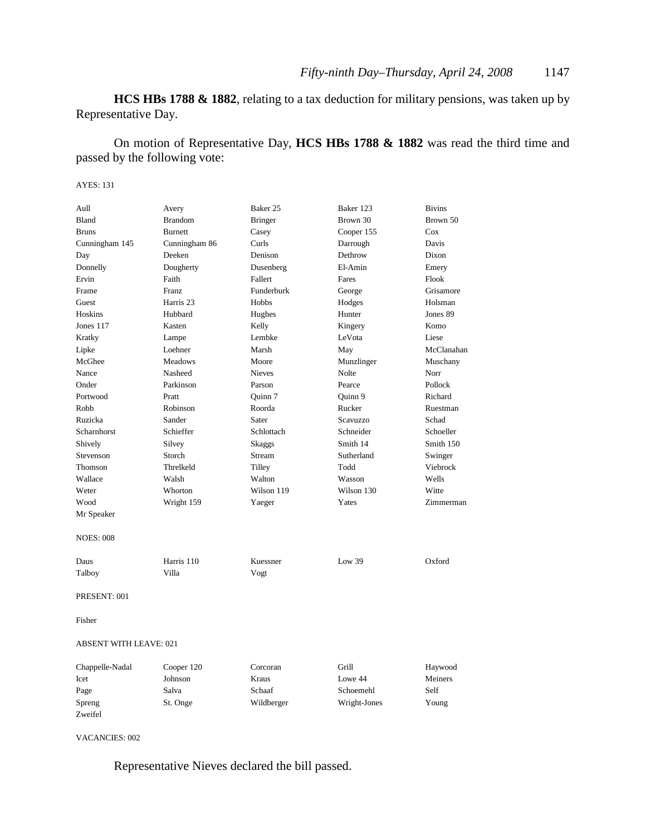**HCS HBs 1788 & 1882**, relating to a tax deduction for military pensions, was taken up by Representative Day.

On motion of Representative Day, **HCS HBs 1788 & 1882** was read the third time and passed by the following vote:

#### AYES: 131

| Aull                          | Avery          | Baker 25       | Baker 123    | <b>Bivins</b> |
|-------------------------------|----------------|----------------|--------------|---------------|
| Bland                         | <b>Brandom</b> | <b>Bringer</b> | Brown 30     | Brown 50      |
| <b>Bruns</b>                  | <b>Burnett</b> | Casey          | Cooper 155   | Cox           |
| Cunningham 145                | Cunningham 86  | Curls          | Darrough     | Davis         |
| Day                           | Deeken         | Denison        | Dethrow      | Dixon         |
| Donnelly                      | Dougherty      | Dusenberg      | El-Amin      | Emery         |
| Ervin                         | Faith          | Fallert        | Fares        | Flook         |
| Frame                         | <b>Franz</b>   | Funderburk     | George       | Grisamore     |
| Guest                         | Harris 23      | Hobbs          | Hodges       | Holsman       |
| Hoskins                       | Hubbard        | Hughes         | Hunter       | Jones 89      |
| Jones 117                     | Kasten         | Kelly          | Kingery      | Komo          |
| Kratky                        | Lampe          | Lembke         | LeVota       | Liese         |
| Lipke                         | Loehner        | Marsh          | May          | McClanahan    |
| McGhee                        | <b>Meadows</b> | Moore          | Munzlinger   | Muschany      |
| Nance                         | Nasheed        | <b>Nieves</b>  | Nolte        | Norr          |
| Onder                         | Parkinson      | Parson         | Pearce       | Pollock       |
| Portwood                      | Pratt          | Quinn 7        | Quinn 9      | Richard       |
| Robb                          | Robinson       | Roorda         | Rucker       | Ruestman      |
| Ruzicka                       | Sander         | Sater          | Scavuzzo     | Schad         |
| Scharnhorst                   | Schieffer      | Schlottach     | Schneider    | Schoeller     |
| Shively                       | Silvey         | Skaggs         | Smith 14     | Smith 150     |
| Stevenson                     | Storch         | Stream         | Sutherland   | Swinger       |
| Thomson                       | Threlkeld      | Tilley         | Todd         | Viebrock      |
| Wallace                       | Walsh          | Walton         | Wasson       | Wells         |
| Weter                         | Whorton        | Wilson 119     | Wilson 130   | Witte         |
| Wood                          | Wright 159     | Yaeger         | Yates        | Zimmerman     |
| Mr Speaker                    |                |                |              |               |
| <b>NOES: 008</b>              |                |                |              |               |
| Daus                          | Harris 110     | Kuessner       | Low $39$     | Oxford        |
| Talboy                        | Villa          | Vogt           |              |               |
| PRESENT: 001                  |                |                |              |               |
| Fisher                        |                |                |              |               |
| <b>ABSENT WITH LEAVE: 021</b> |                |                |              |               |
| Chappelle-Nadal               | Cooper 120     | Corcoran       | Grill        | Haywood       |
| Icet                          | Johnson        | <b>Kraus</b>   | Lowe 44      | Meiners       |
| Page                          | Salva          | Schaaf         | Schoemehl    | Self          |
| Spreng                        | St. Onge       | Wildberger     | Wright-Jones | Young         |
| Zweifel                       |                |                |              |               |

VACANCIES: 002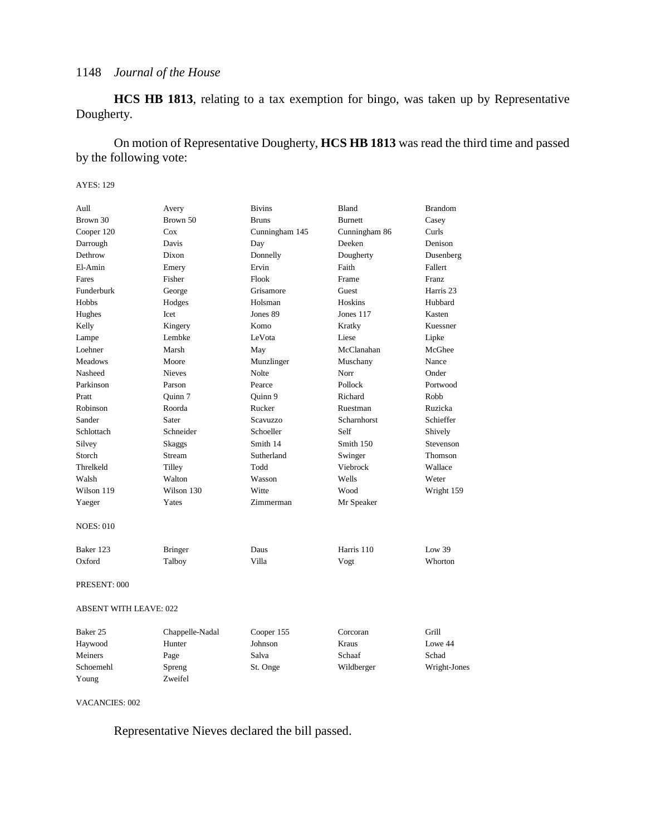**HCS HB 1813**, relating to a tax exemption for bingo, was taken up by Representative Dougherty.

On motion of Representative Dougherty, **HCS HB 1813** was read the third time and passed by the following vote:

#### AYES: 129

| Aull                          | Avery           | <b>Bivins</b>  | Bland          | <b>Brandom</b>     |
|-------------------------------|-----------------|----------------|----------------|--------------------|
| Brown 30                      | Brown 50        | <b>Bruns</b>   | <b>Burnett</b> | Casey              |
| Cooper 120                    | Cox             | Cunningham 145 | Cunningham 86  | Curls              |
| Darrough                      | Davis           | Day            | Deeken         | Denison            |
| Dethrow                       | Dixon           | Donnelly       | Dougherty      | Dusenberg          |
| El-Amin                       | Emery           | Ervin          | Faith          | Fallert            |
| Fares                         | Fisher          | Flook          | Frame          | <b>Franz</b>       |
| Funderburk                    | George          | Grisamore      | Guest          | Harris 23          |
| Hobbs                         | Hodges          | Holsman        | Hoskins        | Hubbard            |
| Hughes                        | Icet            | Jones 89       | Jones 117      | Kasten             |
| Kelly                         | Kingery         | Komo           | Kratky         | Kuessner           |
| Lampe                         | Lembke          | LeVota         | Liese          | Lipke              |
| Loehner                       | Marsh           | May            | McClanahan     | McGhee             |
| <b>Meadows</b>                | Moore           | Munzlinger     | Muschany       | Nance              |
| Nasheed                       | <b>Nieves</b>   | Nolte          | Norr           | Onder              |
| Parkinson                     | Parson          | Pearce         | Pollock        | Portwood           |
| Pratt                         | Quinn 7         | Quinn 9        | Richard        | Robb               |
| Robinson                      | Roorda          | Rucker         | Ruestman       | Ruzicka            |
| Sander                        | Sater           | Scavuzzo       | Scharnhorst    | Schieffer          |
| Schlottach                    | Schneider       | Schoeller      | Self           | Shively            |
| Silvey                        | Skaggs          | Smith 14       | Smith 150      | Stevenson          |
| Storch                        | Stream          | Sutherland     | Swinger        | <b>Thomson</b>     |
| Threlkeld                     | Tilley          | Todd           | Viebrock       | Wallace            |
| Walsh                         | Walton          | Wasson         | Wells          | Weter              |
| Wilson 119                    | Wilson 130      | Witte          | Wood           | Wright 159         |
| Yaeger                        | Yates           | Zimmerman      | Mr Speaker     |                    |
| <b>NOES: 010</b>              |                 |                |                |                    |
| Baker 123                     | <b>Bringer</b>  | Daus           | Harris 110     | $I_{\text{OW}}$ 39 |
| Oxford                        | Talboy          | Villa          | Vogt           | Whorton            |
| PRESENT: 000                  |                 |                |                |                    |
| <b>ABSENT WITH LEAVE: 022</b> |                 |                |                |                    |
| Baker <sub>25</sub>           | Chappelle-Nadal | Cooper 155     | Corcoran       | Grill              |
| Haywood                       | Hunter          | Johnson        | Kraus          | Lowe 44            |
| Meiners                       | Page            | Salva          | Schaaf         | Schad              |

Schoemehl Spreng St. Onge Wildberger Wright-Jones

VACANCIES: 002

Young Zweifel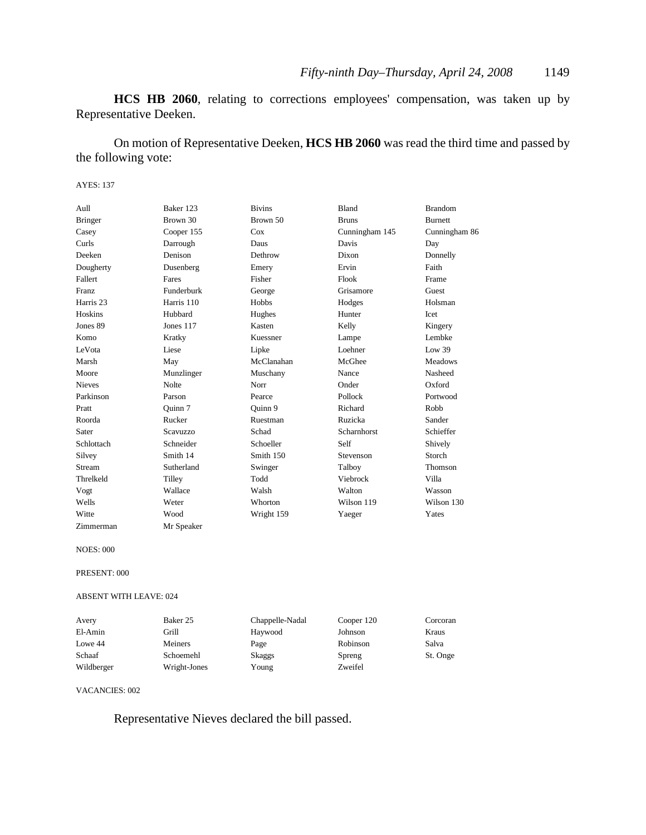**HCS HB 2060**, relating to corrections employees' compensation, was taken up by Representative Deeken.

On motion of Representative Deeken, **HCS HB 2060** was read the third time and passed by the following vote:

#### AYES: 137

| Aull           | Baker 123  | <b>Bivins</b> | Bland              | <b>Brandom</b> |
|----------------|------------|---------------|--------------------|----------------|
| <b>Bringer</b> | Brown 30   | Brown 50      | <b>Bruns</b>       | <b>Burnett</b> |
| Casey          | Cooper 155 | Cox           | Cunningham 145     | Cunningham 86  |
| Curls          | Darrough   | Daus          | Davis              | Day            |
| Deeken         | Denison    | Dethrow       | Dixon              | Donnelly       |
| Dougherty      | Dusenberg  | Emery         | Ervin              | Faith          |
| Fallert        | Fares      | Fisher        | Flook              | Frame          |
| Franz          | Funderburk | George        | Grisamore          | Guest          |
| Harris 23      | Harris 110 | Hobbs         | Hodges             | Holsman        |
| Hoskins        | Hubbard    | Hughes        | Hunter             | Icet           |
| Jones 89       | Jones 117  | Kasten        | Kelly              | Kingery        |
| Komo           | Kratky     | Kuessner      | Lampe              | Lembke         |
| LeVota         | Liese      | Lipke         | Loehner            | Low 39         |
| Marsh          | May        | McClanahan    | McGhee             | <b>Meadows</b> |
| Moore          | Munzlinger | Muschany      | Nance              | Nasheed        |
| <b>Nieves</b>  | Nolte      | Norr          | Onder              | Oxford         |
| Parkinson      | Parson     | Pearce        | Pollock            | Portwood       |
| Pratt          | Ouinn 7    | Ouinn 9       | Richard            | Robb           |
| Roorda         | Rucker     | Ruestman      | Ruzicka            | Sander         |
| Sater          | Scavuzzo   | Schad         | <b>Scharnhorst</b> | Schieffer      |
| Schlottach     | Schneider  | Schoeller     | Self               | Shively        |
| Silvey         | Smith 14   | Smith 150     | Stevenson          | Storch         |
| Stream         | Sutherland | Swinger       | Talboy             | <b>Thomson</b> |
| Threlkeld      | Tilley     | Todd          | <b>Viebrock</b>    | Villa          |
| Vogt           | Wallace    | Walsh         | Walton             | Wasson         |
| Wells          | Weter      | Whorton       | Wilson 119         | Wilson 130     |
| Witte          | Wood       | Wright 159    | Yaeger             | Yates          |
| Zimmerman      | Mr Speaker |               |                    |                |

NOES: 000

PRESENT: 000

ABSENT WITH LEAVE: 024

| Avery      | Baker 25     | Chappelle-Nadal | Cooper 120 | Corcoran |
|------------|--------------|-----------------|------------|----------|
| El-Amin    | Grill        | Haywood         | Johnson    | Kraus    |
| Lowe 44    | Meiners      | Page            | Robinson   | Salva    |
| Schaaf     | Schoemehl    | Skaggs          | Spreng     | St. Onge |
| Wildberger | Wright-Jones | Young           | Zweifel    |          |

VACANCIES: 002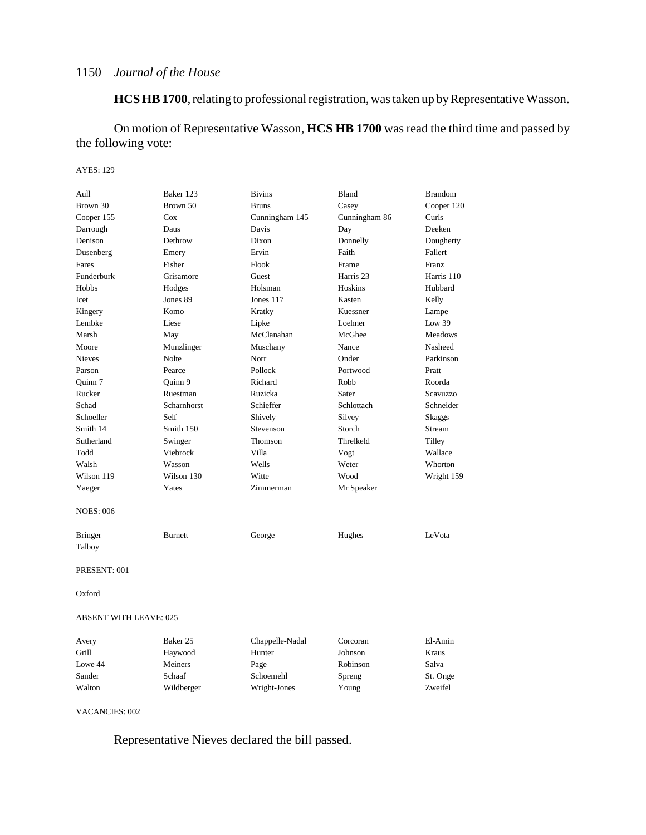**HCS HB 1700**, relating to professional registration, was taken up by Representative Wasson.

On motion of Representative Wasson, **HCS HB 1700** was read the third time and passed by the following vote:

#### AYES: 129

| Aull                          | Baker 123      | <b>Bivins</b>   | Bland         | <b>Brandom</b> |
|-------------------------------|----------------|-----------------|---------------|----------------|
| Brown 30                      | Brown 50       | <b>Bruns</b>    | Casey         | Cooper 120     |
| Cooper 155                    | Cox            | Cunningham 145  | Cunningham 86 | Curls          |
| Darrough                      | Daus           | Davis           | Day           | Deeken         |
| Denison                       | Dethrow        | Dixon           | Donnelly      | Dougherty      |
| Dusenberg                     | Emery          | Ervin           | Faith         | Fallert        |
| Fares                         | Fisher         | Flook           | Frame         | Franz          |
| Funderburk                    | Grisamore      | Guest           | Harris 23     | Harris 110     |
| Hobbs                         | Hodges         | Holsman         | Hoskins       | Hubbard        |
| Icet                          | Jones 89       | Jones 117       | Kasten        | Kelly          |
| Kingery                       | Komo           | Kratky          | Kuessner      | Lampe          |
| Lembke                        | Liese          | Lipke           | Loehner       | Low $39$       |
| Marsh                         | May            | McClanahan      | McGhee        | <b>Meadows</b> |
| Moore                         | Munzlinger     | Muschany        | Nance         | Nasheed        |
| <b>Nieves</b>                 | Nolte          | Norr            | Onder         | Parkinson      |
| Parson                        | Pearce         | Pollock         | Portwood      | Pratt          |
| Ouinn 7                       | Ouinn 9        | Richard         | Robb          | Roorda         |
| Rucker                        | Ruestman       | Ruzicka         | Sater         | Scavuzzo       |
| Schad                         | Scharnhorst    | Schieffer       | Schlottach    | Schneider      |
| Schoeller                     | Self           | Shively         | Silvey        | Skaggs         |
| Smith 14                      | Smith 150      | Stevenson       | Storch        | Stream         |
| Sutherland                    | Swinger        | Thomson         | Threlkeld     | Tilley         |
| Todd                          | Viebrock       | Villa           | Vogt          | Wallace        |
| Walsh                         | Wasson         | Wells           | Weter         | Whorton        |
| Wilson 119                    | Wilson 130     | Witte           | Wood          | Wright 159     |
| Yaeger                        | Yates          | Zimmerman       | Mr Speaker    |                |
| <b>NOES: 006</b>              |                |                 |               |                |
| Bringer                       | <b>Burnett</b> | George          | Hughes        | LeVota         |
| Talboy                        |                |                 |               |                |
| PRESENT: 001                  |                |                 |               |                |
| Oxford                        |                |                 |               |                |
| <b>ABSENT WITH LEAVE: 025</b> |                |                 |               |                |
| Avery                         | Baker 25       | Chappelle-Nadal | Corcoran      | El-Amin        |
| Grill                         | Haywood        | Hunter          | Johnson       | Kraus          |
| Lowe 44                       | Meiners        | Page            | Robinson      | Salva          |
| Sander                        | Schaaf         | Schoemehl       | Spreng        | St. Onge       |
| Walton                        | Wildberger     | Wright-Jones    | Young         | Zweifel        |

VACANCIES: 002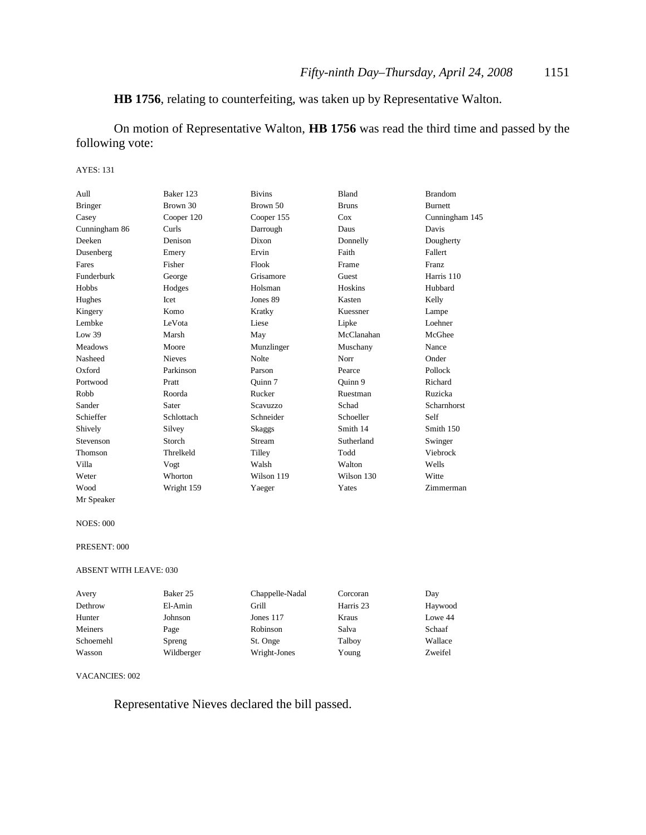### **HB 1756**, relating to counterfeiting, was taken up by Representative Walton.

On motion of Representative Walton, **HB 1756** was read the third time and passed by the following vote:

#### AYES: 131

| Aull           | Baker 123     | <b>Bivins</b> | <b>Bland</b> | <b>Brandom</b> |
|----------------|---------------|---------------|--------------|----------------|
| <b>Bringer</b> | Brown 30      | Brown 50      | <b>Bruns</b> | <b>Burnett</b> |
| Casey          | Cooper 120    | Cooper 155    | Cox          | Cunningham 145 |
| Cunningham 86  | Curls         | Darrough      | Daus         | Davis          |
| Deeken         | Denison       | Dixon         | Donnelly     | Dougherty      |
| Dusenberg      | Emery         | Ervin         | Faith        | Fallert        |
| Fares          | Fisher        | Flook         | Frame        | <b>Franz</b>   |
| Funderburk     | George        | Grisamore     | Guest        | Harris 110     |
| Hobbs          | Hodges        | Holsman       | Hoskins      | Hubbard        |
| Hughes         | Icet          | Jones 89      | Kasten       | Kelly          |
| Kingery        | Komo          | Kratky        | Kuessner     | Lampe          |
| Lembke         | LeVota        | Liese         | Lipke        | Loehner        |
| Low 39         | Marsh         | May           | McClanahan   | McGhee         |
| <b>Meadows</b> | Moore         | Munzlinger    | Muschany     | Nance          |
| Nasheed        | <b>Nieves</b> | <b>Nolte</b>  | Norr         | Onder          |
| Oxford         | Parkinson     | Parson        | Pearce       | Pollock        |
| Portwood       | Pratt         | Ouinn 7       | Ouinn 9      | Richard        |
| Robb           | Roorda        | Rucker        | Ruestman     | Ruzicka        |
| Sander         | Sater         | Scavuzzo      | Schad        | Scharnhorst    |
| Schieffer      | Schlottach    | Schneider     | Schoeller    | Self           |
| Shively        | Silvey        | <b>Skaggs</b> | Smith 14     | Smith 150      |
| Stevenson      | Storch        | Stream        | Sutherland   | Swinger        |
| Thomson        | Threlkeld     | Tilley        | Todd         | Viebrock       |
| Villa          | Vogt          | Walsh         | Walton       | Wells          |
| Weter          | Whorton       | Wilson 119    | Wilson 130   | Witte          |
| Wood           | Wright 159    | Yaeger        | Yates        | Zimmerman      |
| Mr Speaker     |               |               |              |                |

#### NOES: 000

#### PRESENT: 000

#### ABSENT WITH LEAVE: 030

| Avery     | Baker 25   | Chappelle-Nadal | Corcoran  | Day     |
|-----------|------------|-----------------|-----------|---------|
| Dethrow   | El-Amin    | Grill           | Harris 23 | Haywood |
| Hunter    | Johnson    | Jones 117       | Kraus     | Lowe 44 |
| Meiners   | Page       | Robinson        | Salva     | Schaaf  |
| Schoemehl | Spreng     | St. Onge        | Talboy    | Wallace |
| Wasson    | Wildberger | Wright-Jones    | Young     | Zweifel |

#### VACANCIES: 002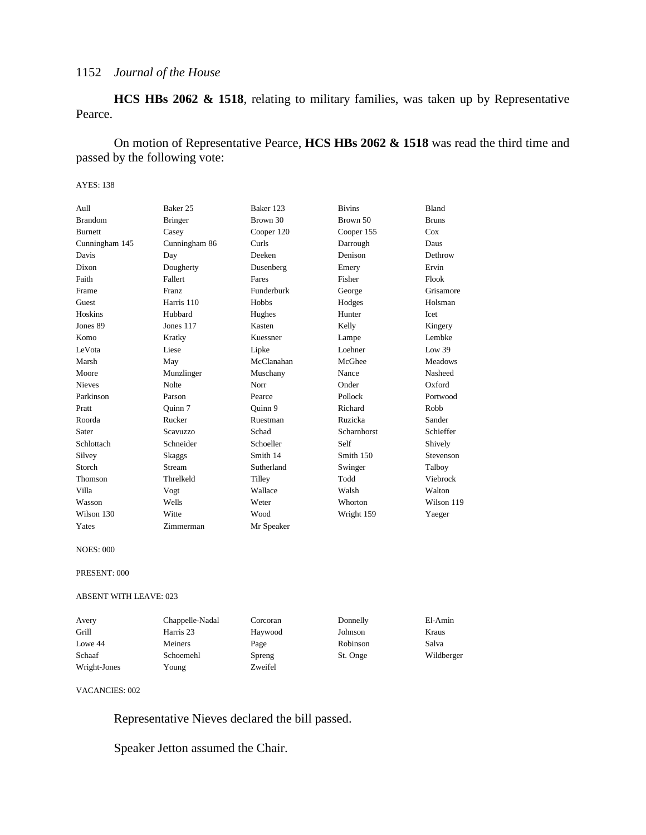**HCS HBs 2062 & 1518**, relating to military families, was taken up by Representative Pearce.

On motion of Representative Pearce, **HCS HBs 2062 & 1518** was read the third time and passed by the following vote:

#### AYES: 138

| Aull           | Baker 25        | Baker 123  | <b>Bivins</b> | <b>Bland</b>   |
|----------------|-----------------|------------|---------------|----------------|
| <b>Brandom</b> | <b>Bringer</b>  | Brown 30   | Brown 50      | <b>Bruns</b>   |
| <b>Burnett</b> | Casey           | Cooper 120 | Cooper 155    | Cox            |
| Cunningham 145 | Cunningham 86   | Curls      | Darrough      | Daus           |
| Davis          | Day             | Deeken     | Denison       | Dethrow        |
| Dixon          | Dougherty       | Dusenberg  | Emery         | Ervin          |
| Faith          | Fallert         | Fares      | Fisher        | Flook          |
| Frame          | <b>Franz</b>    | Funderburk | George        | Grisamore      |
| Guest          | Harris 110      | Hobbs      | Hodges        | Holsman        |
| Hoskins        | Hubbard         | Hughes     | Hunter        | Icet           |
| Jones 89       | Jones 117       | Kasten     | Kelly         | Kingery        |
| Komo           | Kratky          | Kuessner   | Lampe         | Lembke         |
| LeVota         | Liese           | Lipke      | Loehner       | Low 39         |
| Marsh          | May             | McClanahan | McGhee        | <b>Meadows</b> |
| Moore          | Munzlinger      | Muschany   | Nance         | Nasheed        |
| <b>Nieves</b>  | <b>Nolte</b>    | Norr       | Onder         | Oxford         |
| Parkinson      | Parson          | Pearce     | Pollock       | Portwood       |
| Pratt          | Ouinn 7         | Quinn 9    | Richard       | Robb           |
| Roorda         | Rucker          | Ruestman   | Ruzicka       | Sander         |
| Sater          | <b>Scavuzzo</b> | Schad      | Scharnhorst   | Schieffer      |
| Schlottach     | Schneider       | Schoeller  | Self          | Shively        |
| Silvey         | Skaggs          | Smith 14   | Smith 150     | Stevenson      |
| Storch         | Stream          | Sutherland | Swinger       | Talboy         |
| Thomson        | Threlkeld       | Tilley     | Todd          | Viebrock       |
| Villa          | Vogt            | Wallace    | Walsh         | Walton         |
| Wasson         | Wells           | Weter      | Whorton       | Wilson 119     |
| Wilson 130     | Witte           | Wood       | Wright 159    | Yaeger         |
| Yates          | Zimmerman       | Mr Speaker |               |                |

NOES: 000

PRESENT: 000

ABSENT WITH LEAVE: 023

| Avery        | Chappelle-Nadal | Corcoran | Donnelly | El-Amin    |
|--------------|-----------------|----------|----------|------------|
| Grill        | Harris 23       | Haywood  | Johnson  | Kraus      |
| Lowe 44      | Meiners         | Page     | Robinson | Salva      |
| Schaaf       | Schoemehl       | Spreng   | St. Onge | Wildberger |
| Wright-Jones | Young           | Zweifel  |          |            |

VACANCIES: 002

Representative Nieves declared the bill passed.

Speaker Jetton assumed the Chair.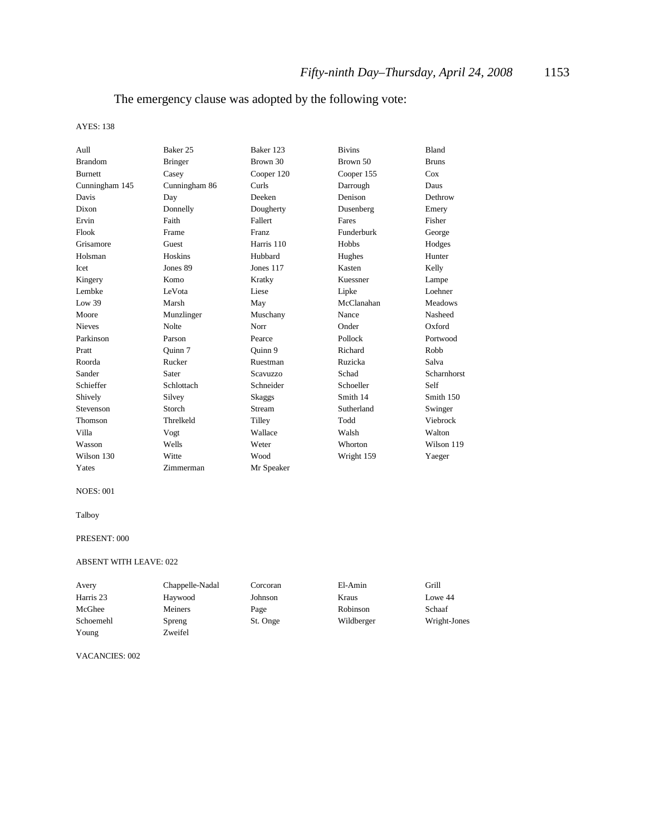### The emergency clause was adopted by the following vote:

#### AYES: 138

| Aull           | Baker 25       | Baker 123    | <b>Bivins</b> | <b>Bland</b>   |
|----------------|----------------|--------------|---------------|----------------|
| <b>Brandom</b> | <b>Bringer</b> | Brown 30     | Brown 50      | <b>Bruns</b>   |
| <b>Burnett</b> | Casey          | Cooper 120   | Cooper 155    | Cox            |
| Cunningham 145 | Cunningham 86  | Curls        | Darrough      | Daus           |
| Davis          | Day            | Deeken       | Denison       | Dethrow        |
| Dixon          | Donnelly       | Dougherty    | Dusenberg     | Emery          |
| Ervin          | Faith          | Fallert      | Fares         | Fisher         |
| Flook          | Frame          | <b>Franz</b> | Funderburk    | George         |
| Grisamore      | Guest          | Harris 110   | <b>Hobbs</b>  | Hodges         |
| Holsman        | Hoskins        | Hubbard      | Hughes        | Hunter         |
| Icet           | Jones 89       | Jones 117    | Kasten        | Kelly          |
| Kingery        | Komo           | Kratky       | Kuessner      | Lampe          |
| Lembke         | LeVota         | Liese        | Lipke         | Loehner        |
| Low 39         | Marsh          | May          | McClanahan    | <b>Meadows</b> |
| Moore          | Munzlinger     | Muschany     | Nance         | Nasheed        |
| <b>Nieves</b>  | <b>Nolte</b>   | Norr         | Onder         | Oxford         |
| Parkinson      | Parson         | Pearce       | Pollock       | Portwood       |
| Pratt          | Ouinn 7        | Ouinn 9      | Richard       | Robb           |
| Roorda         | Rucker         | Ruestman     | Ruzicka       | Salva          |
| Sander         | Sater          | Scavuzzo     | Schad         | Scharnhorst    |
| Schieffer      | Schlottach     | Schneider    | Schoeller     | Self           |
| Shively        | Silvey         | Skaggs       | Smith 14      | Smith 150      |
| Stevenson      | Storch         | Stream       | Sutherland    | Swinger        |
| Thomson        | Threlkeld      | Tilley       | Todd          | Viebrock       |
| Villa          | Vogt           | Wallace      | Walsh         | Walton         |
| Wasson         | Wells          | Weter        | Whorton       | Wilson 119     |
| Wilson 130     | Witte          | Wood         | Wright 159    | Yaeger         |
| Yates          | Zimmerman      | Mr Speaker   |               |                |

#### NOES: 001

#### Talboy

#### PRESENT: 000

#### ABSENT WITH LEAVE: 022

| Avery     | Chappelle-Nadal | Corcoran | El-Amin    | Grill        |
|-----------|-----------------|----------|------------|--------------|
| Harris 23 | Haywood         | Johnson  | Kraus      | Lowe 44      |
| McGhee    | Meiners         | Page     | Robinson   | Schaaf       |
| Schoemehl | Spreng          | St. Onge | Wildberger | Wright-Jones |
| Young     | Zweifel         |          |            |              |

#### VACANCIES: 002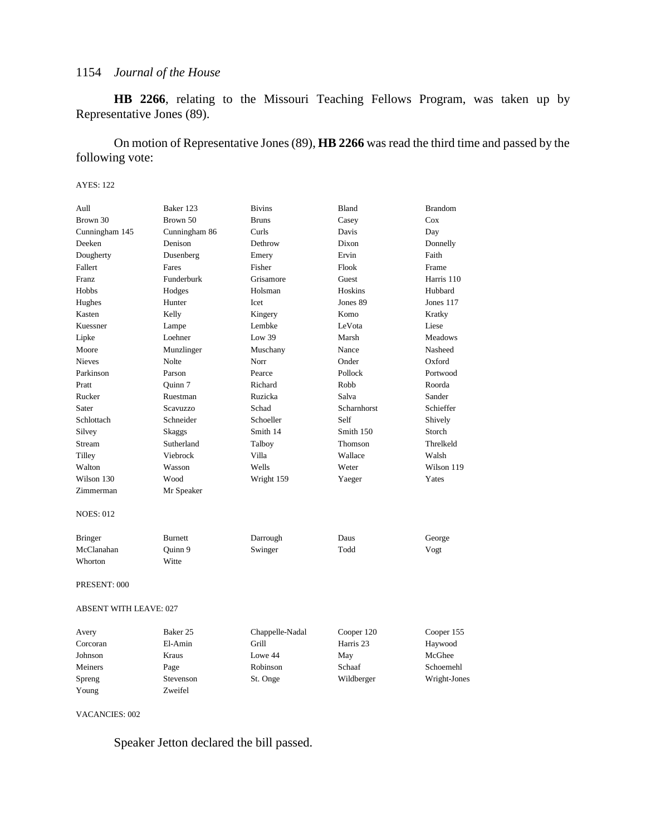**HB 2266**, relating to the Missouri Teaching Fellows Program, was taken up by Representative Jones (89).

On motion of Representative Jones (89), **HB 2266** was read the third time and passed by the following vote:

#### AYES: 122

| Aull                          | Baker 123      | <b>Bivins</b>   | Bland       | <b>Brandom</b> |
|-------------------------------|----------------|-----------------|-------------|----------------|
| Brown 30                      | Brown 50       | <b>Bruns</b>    | Casey       | Cox            |
| Cunningham 145                | Cunningham 86  | Curls           | Davis       | Day            |
| Deeken                        | Denison        | Dethrow         | Dixon       | Donnelly       |
| Dougherty                     | Dusenberg      | Emery           | Ervin       | Faith          |
| Fallert                       | Fares          | Fisher          | Flook       | Frame          |
| <b>Franz</b>                  | Funderburk     | Grisamore       | Guest       | Harris 110     |
| <b>Hobbs</b>                  | Hodges         | Holsman         | Hoskins     | Hubbard        |
| Hughes                        | Hunter         | Icet            | Jones 89    | Jones 117      |
| Kasten                        | Kelly          | Kingery         | Komo        | Kratky         |
| Kuessner                      | Lampe          | Lembke          | LeVota      | Liese          |
| Lipke                         | Loehner        | Low 39          | Marsh       | <b>Meadows</b> |
| Moore                         | Munzlinger     | Muschany        | Nance       | Nasheed        |
| <b>Nieves</b>                 | Nolte          | Norr            | Onder       | Oxford         |
| Parkinson                     | Parson         | Pearce          | Pollock     | Portwood       |
| Pratt                         | Ouinn 7        | Richard         | Robb        | Roorda         |
| Rucker                        | Ruestman       | Ruzicka         | Salva       | Sander         |
| Sater                         | Scavuzzo       | Schad           | Scharnhorst | Schieffer      |
| Schlottach                    | Schneider      | Schoeller       | Self        | Shively        |
| Silvey                        | <b>Skaggs</b>  | Smith 14        | Smith 150   | Storch         |
| Stream                        | Sutherland     | Talboy          | Thomson     | Threlkeld      |
| Tilley                        | Viebrock       | Villa           | Wallace     | Walsh          |
| Walton                        | Wasson         | Wells           | Weter       | Wilson 119     |
| Wilson 130                    | Wood           | Wright 159      | Yaeger      | Yates          |
| Zimmerman                     | Mr Speaker     |                 |             |                |
| <b>NOES: 012</b>              |                |                 |             |                |
| <b>Bringer</b>                | <b>Burnett</b> | Darrough        | Daus        | George         |
| McClanahan                    | Quinn 9        | Swinger         | Todd        | Vogt           |
| Whorton                       | Witte          |                 |             |                |
| PRESENT: 000                  |                |                 |             |                |
| <b>ABSENT WITH LEAVE: 027</b> |                |                 |             |                |
| Avery                         | Baker 25       | Chappelle-Nadal | Cooper 120  | Cooper 155     |

| Avery    | Baker 25  | Chappelle-Nadal | Cooper 120 | Cooper 155   |
|----------|-----------|-----------------|------------|--------------|
| Corcoran | El-Amin   | Grill           | Harris 23  | Haywood      |
| Johnson  | Kraus     | Lowe 44         | May        | McGhee       |
| Meiners  | Page      | Robinson        | Schaaf     | Schoemehl    |
| Spreng   | Stevenson | St. Onge        | Wildberger | Wright-Jones |
| Young    | Zweifel   |                 |            |              |

VACANCIES: 002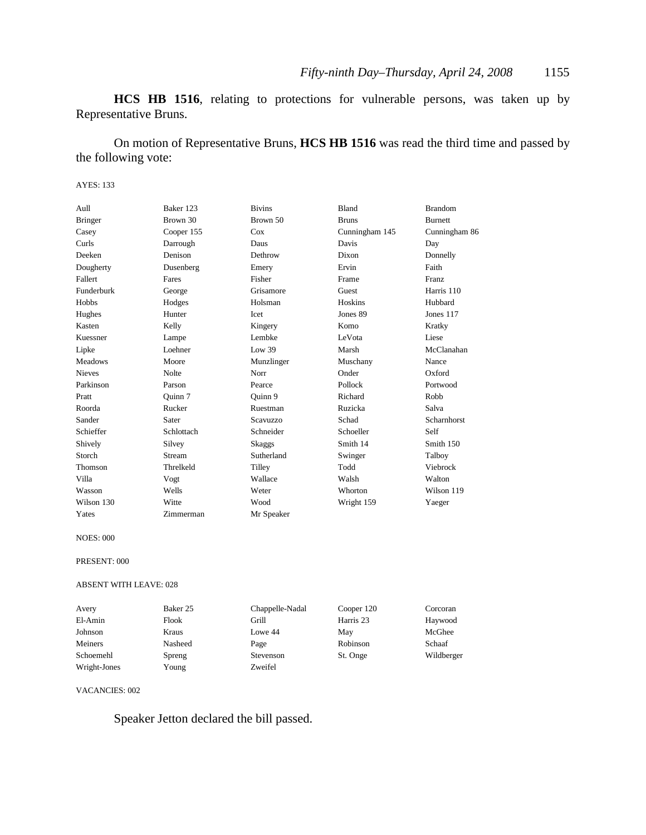**HCS HB 1516**, relating to protections for vulnerable persons, was taken up by Representative Bruns.

On motion of Representative Bruns, **HCS HB 1516** was read the third time and passed by the following vote:

#### AYES: 133

| Aull           | Baker 123    | <b>Bivins</b> | Bland          | <b>Brandom</b> |
|----------------|--------------|---------------|----------------|----------------|
| <b>Bringer</b> | Brown 30     | Brown 50      | <b>Bruns</b>   | <b>Burnett</b> |
| Casey          | Cooper 155   | $\cos$        | Cunningham 145 | Cunningham 86  |
| Curls          | Darrough     | Daus          | Davis          | Day            |
| Deeken         | Denison      | Dethrow       | Dixon          | Donnelly       |
| Dougherty      | Dusenberg    | Emery         | Ervin          | Faith          |
| Fallert        | Fares        | Fisher        | Frame          | Franz          |
| Funderburk     | George       | Grisamore     | Guest          | Harris 110     |
| Hobbs          | Hodges       | Holsman       | Hoskins        | Hubbard        |
| Hughes         | Hunter       | Icet          | Jones 89       | Jones 117      |
| Kasten         | Kelly        | Kingery       | Komo           | Kratky         |
| Kuessner       | Lampe        | Lembke        | LeVota         | Liese          |
| Lipke          | Loehner      | Low 39        | Marsh          | McClanahan     |
| <b>Meadows</b> | Moore        | Munzlinger    | Muschany       | Nance          |
| <b>Nieves</b>  | <b>Nolte</b> | Norr          | Onder          | Oxford         |
| Parkinson      | Parson       | Pearce        | Pollock        | Portwood       |
| Pratt          | Ouinn 7      | Ouinn 9       | Richard        | Robb           |
| Roorda         | Rucker       | Ruestman      | Ruzicka        | Salva          |
| Sander         | Sater        | Scavuzzo      | Schad          | Scharnhorst    |
| Schieffer      | Schlottach   | Schneider     | Schoeller      | Self           |
| Shively        | Silvey       | Skaggs        | Smith 14       | Smith 150      |
| Storch         | Stream       | Sutherland    | Swinger        | Talboy         |
| Thomson        | Threlkeld    | Tilley        | Todd           | Viebrock       |
| Villa          | Vogt         | Wallace       | Walsh          | Walton         |
| Wasson         | Wells        | Weter         | Whorton        | Wilson 119     |
| Wilson 130     | Witte        | Wood          | Wright 159     | Yaeger         |
| Yates          | Zimmerman    | Mr Speaker    |                |                |

NOES: 000

#### PRESENT: 000

#### ABSENT WITH LEAVE: 028

| Avery        | Baker 25 | Chappelle-Nadal | Cooper 120 | Corcoran   |
|--------------|----------|-----------------|------------|------------|
| El-Amin      | Flook    | Grill           | Harris 23  | Haywood    |
| Johnson      | Kraus    | Lowe 44         | May        | McGhee     |
| Meiners      | Nasheed  | Page            | Robinson   | Schaaf     |
| Schoemehl    | Spreng   | Stevenson       | St. Onge   | Wildberger |
| Wright-Jones | Young    | Zweifel         |            |            |

#### VACANCIES: 002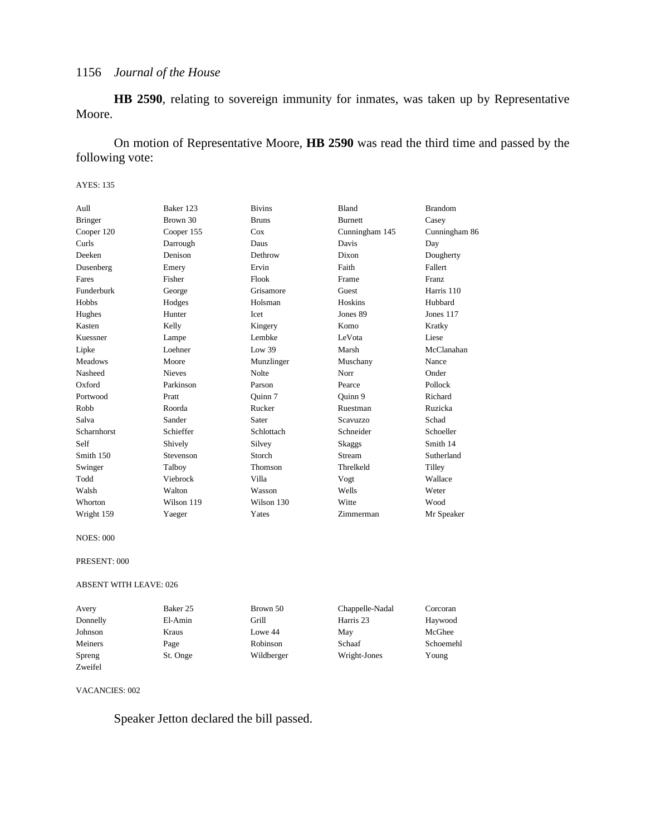**HB 2590**, relating to sovereign immunity for inmates, was taken up by Representative Moore.

On motion of Representative Moore, **HB 2590** was read the third time and passed by the following vote:

#### AYES: 135

| Aull           | Baker 123     | <b>Bivins</b> | Bland           | <b>Brandom</b> |
|----------------|---------------|---------------|-----------------|----------------|
| <b>Bringer</b> | Brown 30      | <b>Bruns</b>  | <b>Burnett</b>  | Casey          |
| Cooper 120     | Cooper 155    | Cox           | Cunningham 145  | Cunningham 86  |
| Curls          | Darrough      | Daus          | Davis           | Day            |
| Deeken         | Denison       | Dethrow       | Dixon           | Dougherty      |
| Dusenberg      | Emery         | Ervin         | Faith           | Fallert        |
| Fares          | Fisher        | Flook         | Frame           | Franz          |
| Funderburk     | George        | Grisamore     | Guest           | Harris 110     |
| Hobbs          | Hodges        | Holsman       | Hoskins         | Hubbard        |
| Hughes         | Hunter        | Icet          | Jones 89        | Jones 117      |
| Kasten         | Kelly         | Kingery       | Komo            | Kratky         |
| Kuessner       | Lampe         | Lembke        | LeVota          | Liese          |
| Lipke          | Loehner       | Low 39        | Marsh           | McClanahan     |
| <b>Meadows</b> | Moore         | Munzlinger    | Muschany        | Nance          |
| Nasheed        | <b>Nieves</b> | <b>Nolte</b>  | Norr            | Onder          |
| Oxford         | Parkinson     | Parson        | Pearce          | Pollock        |
| Portwood       | Pratt         | Quinn 7       | Quinn 9         | Richard        |
| Robb           | Roorda        | Rucker        | Ruestman        | Ruzicka        |
| Salva          | Sander        | Sater         | <b>Scavuzzo</b> | Schad          |
| Scharnhorst    | Schieffer     | Schlottach    | Schneider       | Schoeller      |
| Self           | Shively       | Silvey        | Skaggs          | Smith 14       |
| Smith 150      | Stevenson     | Storch        | Stream          | Sutherland     |
| Swinger        | Talboy        | Thomson       | Threlkeld       | Tilley         |
| Todd           | Viebrock      | Villa         | Vogt            | Wallace        |
| Walsh          | Walton        | Wasson        | Wells           | Weter          |
| Whorton        | Wilson 119    | Wilson 130    | Witte           | Wood           |
| Wright 159     | Yaeger        | Yates         | Zimmerman       | Mr Speaker     |

NOES: 000

#### PRESENT: 000

#### ABSENT WITH LEAVE: 026

| Avery    | Baker 25 | Brown 50   | Chappelle-Nadal | Corcoran  |
|----------|----------|------------|-----------------|-----------|
| Donnelly | El-Amin  | Grill      | Harris 23       | Haywood   |
| Johnson  | Kraus    | Lowe 44    | May             | McGhee    |
| Meiners  | Page     | Robinson   | Schaaf          | Schoemehl |
| Spreng   | St. Onge | Wildberger | Wright-Jones    | Young     |
| Zweifel  |          |            |                 |           |

#### VACANCIES: 002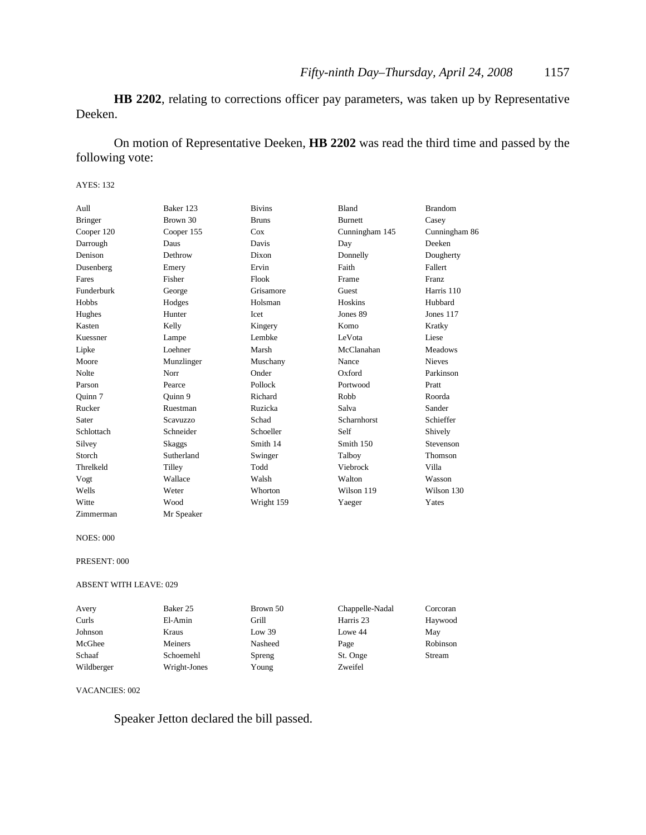**HB 2202**, relating to corrections officer pay parameters, was taken up by Representative Deeken.

On motion of Representative Deeken, **HB 2202** was read the third time and passed by the following vote:

#### AYES: 132

| Aull           | Baker 123     | <b>Bivins</b> | Bland          | <b>Brandom</b> |
|----------------|---------------|---------------|----------------|----------------|
| <b>Bringer</b> | Brown 30      | <b>Bruns</b>  | <b>Burnett</b> | Casey          |
| Cooper 120     | Cooper 155    | Cox           | Cunningham 145 | Cunningham 86  |
| Darrough       | Daus          | Davis         | Day            | Deeken         |
| Denison        | Dethrow       | Dixon         | Donnelly       | Dougherty      |
| Dusenberg      | Emery         | Ervin         | Faith          | Fallert        |
| Fares          | Fisher        | Flook         | Frame          | <b>Franz</b>   |
| Funderburk     | George        | Grisamore     | Guest          | Harris 110     |
| Hobbs          | Hodges        | Holsman       | Hoskins        | Hubbard        |
| Hughes         | Hunter        | Icet          | Jones 89       | Jones 117      |
| Kasten         | Kelly         | Kingery       | Komo           | Kratky         |
| Kuessner       | Lampe         | Lembke        | LeVota         | Liese          |
| Lipke          | Loehner       | Marsh         | McClanahan     | <b>Meadows</b> |
| Moore          | Munzlinger    | Muschany      | Nance          | <b>Nieves</b>  |
| Nolte          | Norr          | Onder         | Oxford         | Parkinson      |
| Parson         | Pearce        | Pollock       | Portwood       | Pratt          |
| Ouinn 7        | Ouinn 9       | Richard       | Robb           | Roorda         |
| Rucker         | Ruestman      | Ruzicka       | Salva          | Sander         |
| Sater          | Scavuzzo      | Schad         | Scharnhorst    | Schieffer      |
| Schlottach     | Schneider     | Schoeller     | Self           | Shively        |
| Silvey         | <b>Skaggs</b> | Smith 14      | Smith 150      | Stevenson      |
| Storch         | Sutherland    | Swinger       | Talboy         | Thomson        |
| Threlkeld      | Tilley        | Todd          | Viebrock       | Villa          |
| Vogt           | Wallace       | Walsh         | Walton         | Wasson         |
| Wells          | Weter         | Whorton       | Wilson 119     | Wilson 130     |
| Witte          | Wood          | Wright 159    | Yaeger         | Yates          |
| Zimmerman      | Mr Speaker    |               |                |                |

NOES: 000

#### PRESENT: 000

#### ABSENT WITH LEAVE: 029

| Avery      | Baker 25     | Brown 50 | Chappelle-Nadal | Corcoran |
|------------|--------------|----------|-----------------|----------|
| Curls      | El-Amin      | Grill    | Harris 23       | Haywood  |
| Johnson    | Kraus        | Low 39   | Lowe 44         | Mav      |
| McGhee     | Meiners      | Nasheed  | Page            | Robinson |
| Schaaf     | Schoemehl    | Spreng   | St. Onge        | Stream   |
| Wildberger | Wright-Jones | Young    | Zweifel         |          |

VACANCIES: 002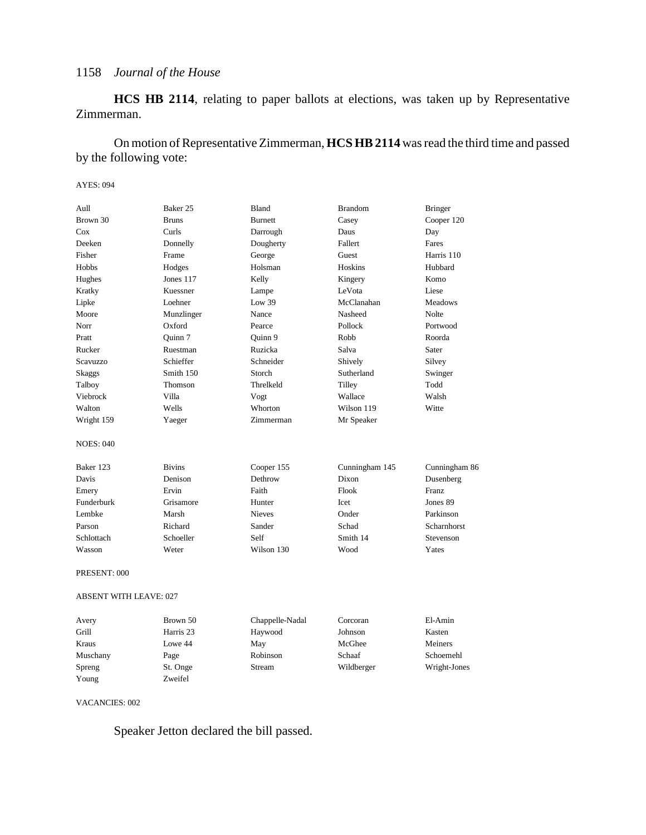**HCS HB 2114**, relating to paper ballots at elections, was taken up by Representative Zimmerman.

On motion of Representative Zimmerman, **HCS HB 2114** was read the third time and passed by the following vote:

#### AYES: 094

| Aull                          | Baker 25      | Bland           | <b>Brandom</b> | <b>Bringer</b> |
|-------------------------------|---------------|-----------------|----------------|----------------|
| Brown 30                      | <b>Bruns</b>  | <b>Burnett</b>  | Casey          | Cooper 120     |
| Cox                           | Curls         | Darrough        | Daus           | Day            |
| Deeken                        | Donnelly      | Dougherty       | Fallert        | Fares          |
| Fisher                        | Frame         | George          | Guest          | Harris 110     |
| Hobbs                         | Hodges        | Holsman         | Hoskins        | Hubbard        |
| Hughes                        | Jones 117     | Kelly           | Kingery        | Komo           |
| Kratky                        | Kuessner      | Lampe           | LeVota         | Liese          |
| Lipke                         | Loehner       | Low 39          | McClanahan     | <b>Meadows</b> |
| Moore                         | Munzlinger    | Nance           | Nasheed        | <b>Nolte</b>   |
| Norr                          | Oxford        | Pearce          | Pollock        | Portwood       |
| Pratt                         | Ouinn 7       | Ouinn 9         | Robb           | Roorda         |
| Rucker                        | Ruestman      | Ruzicka         | Salva          | Sater          |
| Scavuzzo                      | Schieffer     | Schneider       | Shively        | Silvey         |
| Skaggs                        | Smith 150     | Storch          | Sutherland     | Swinger        |
| Talboy                        | Thomson       | Threlkeld       | Tilley         | Todd           |
| Viebrock                      | Villa         | Vogt            | Wallace        | Walsh          |
| Walton                        | Wells         | Whorton         | Wilson 119     | Witte          |
| Wright 159                    | Yaeger        | Zimmerman       | Mr Speaker     |                |
| <b>NOES: 040</b>              |               |                 |                |                |
| Baker 123                     | <b>Bivins</b> | Cooper 155      | Cunningham 145 | Cunningham 86  |
| Davis                         | Denison       | Dethrow         | Dixon          | Dusenberg      |
| Emery                         | Ervin         | Faith           | Flook          | Franz          |
| Funderburk                    | Grisamore     | Hunter          | <b>Icet</b>    | Jones 89       |
| Lembke                        | Marsh         | <b>Nieves</b>   | Onder          | Parkinson      |
| Parson                        | Richard       | Sander          | Schad          | Scharnhorst    |
| Schlottach                    | Schoeller     | Self            | Smith 14       | Stevenson      |
| Wasson                        | Weter         | Wilson 130      | Wood           | Yates          |
| PRESENT: 000                  |               |                 |                |                |
| <b>ABSENT WITH LEAVE: 027</b> |               |                 |                |                |
| Avery                         | Brown 50      | Chappelle-Nadal | Corcoran       | El-Amin        |
| Grill                         | Harris 23     | Haywood         | Johnson        | Kasten         |
| Kraus                         | Lowe 44       | May             | McGhee         | Meiners        |
| Muschany                      | Page          | Robinson        | Schaaf         | Schoemehl      |
| Spreng                        | St. Onge      | Stream          | Wildberger     | Wright-Jones   |
| Young                         | Zweifel       |                 |                |                |

VACANCIES: 002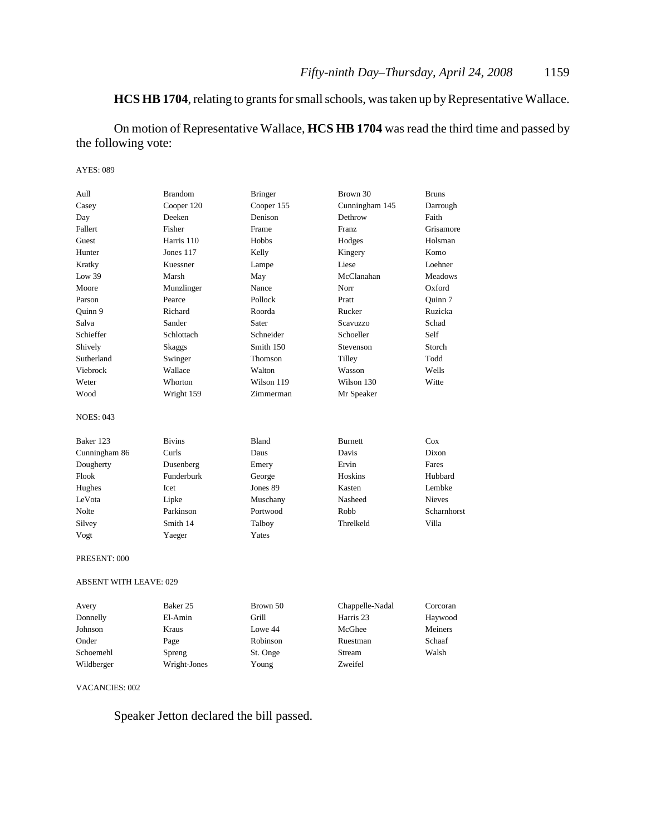### **HCS HB 1704**, relating to grants for small schools, was taken up by Representative Wallace.

On motion of Representative Wallace, **HCS HB 1704** was read the third time and passed by the following vote:

#### AYES: 089

| Aull                          | <b>Brandom</b>      | <b>Bringer</b> | Brown 30        | <b>Bruns</b>   |
|-------------------------------|---------------------|----------------|-----------------|----------------|
| Casey                         | Cooper 120          | Cooper 155     | Cunningham 145  | Darrough       |
| Day                           | Deeken              | Denison        | Dethrow         | Faith          |
| Fallert                       | Fisher              | Frame          | Franz           | Grisamore      |
| Guest                         | Harris 110          | Hobbs          | Hodges          | Holsman        |
| Hunter                        | Jones 117           | Kelly          | Kingery         | Komo           |
| Kratky                        | Kuessner            | Lampe          | Liese           | Loehner        |
| Low 39                        | Marsh               | May            | McClanahan      | <b>Meadows</b> |
| Moore                         | Munzlinger          | Nance          | Norr            | Oxford         |
| Parson                        | Pearce              | Pollock        | Pratt           | Quinn 7        |
| Ouinn 9                       | Richard             | Roorda         | Rucker          | Ruzicka        |
| Salva                         | Sander              | Sater          | <b>Scavuzzo</b> | Schad          |
| Schieffer                     | Schlottach          | Schneider      | Schoeller       | Self           |
| Shively                       | <b>Skaggs</b>       | Smith 150      | Stevenson       | Storch         |
| Sutherland                    | Swinger             | Thomson        | Tilley          | Todd           |
| Viebrock                      | Wallace             | Walton         | Wasson          | Wells          |
| Weter                         | Whorton             | Wilson 119     | Wilson 130      | Witte          |
| Wood                          | Wright 159          | Zimmerman      | Mr Speaker      |                |
| <b>NOES: 043</b>              |                     |                |                 |                |
| Baker 123                     | <b>Bivins</b>       | Bland          | <b>Burnett</b>  | Cox            |
| Cunningham 86                 | Curls               | Daus           | Davis           | Dixon          |
| Dougherty                     | Dusenberg           | Emery          | Ervin           | Fares          |
| Flook                         | Funderburk          | George         | Hoskins         | Hubbard        |
| Hughes                        | Icet                | Jones 89       | Kasten          | Lembke         |
| LeVota                        | Lipke               | Muschany       | Nasheed         | <b>Nieves</b>  |
| Nolte                         | Parkinson           | Portwood       | Robb            | Scharnhorst    |
| Silvey                        | Smith 14            | Talboy         | Threlkeld       | Villa          |
| Vogt                          | Yaeger              | Yates          |                 |                |
| PRESENT: 000                  |                     |                |                 |                |
| <b>ABSENT WITH LEAVE: 029</b> |                     |                |                 |                |
| Avery                         | Baker <sub>25</sub> | Brown 50       | Chappelle-Nadal | Corcoran       |
| Donnelly                      | El-Amin             | Grill          | Harris 23       | Haywood        |
|                               |                     |                |                 |                |

| Donnelly   | El-Amin      | Grill    | Harris 23 | Haywood |
|------------|--------------|----------|-----------|---------|
| Johnson    | Kraus        | Lowe 44  | McGhee    | Meiners |
| Onder      | Page         | Robinson | Ruestman  | Schaaf  |
| Schoemehl  | Spreng       | St. Onge | Stream    | Walsh   |
| Wildberger | Wright-Jones | Young    | Zweifel   |         |
|            |              |          |           |         |

#### VACANCIES: 002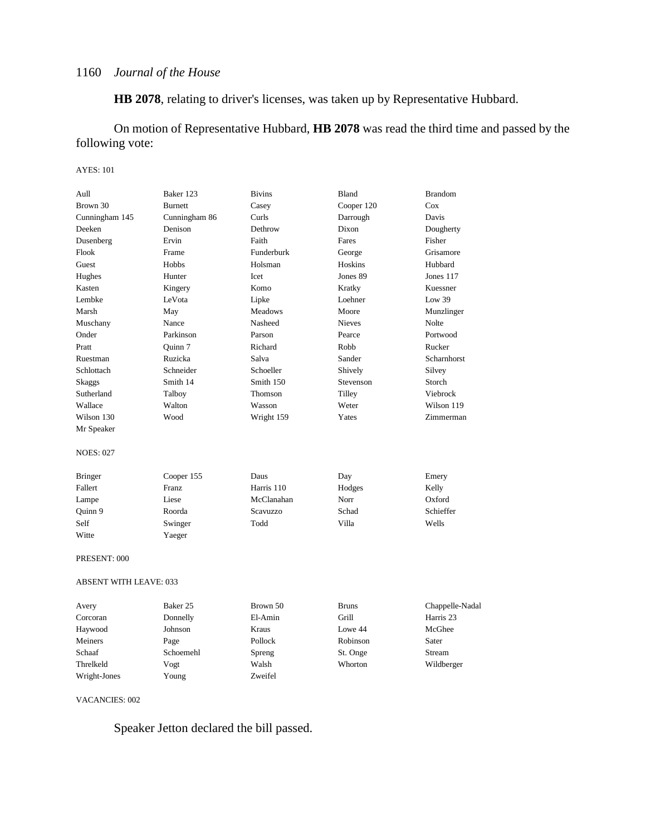**HB 2078**, relating to driver's licenses, was taken up by Representative Hubbard.

On motion of Representative Hubbard, **HB 2078** was read the third time and passed by the following vote:

#### AYES: 101

| Aull                          | Baker 123      | <b>Bivins</b> | Bland         | <b>Brandom</b>     |
|-------------------------------|----------------|---------------|---------------|--------------------|
| Brown 30                      | <b>Burnett</b> | Casey         | Cooper 120    | Cox                |
| Cunningham 145                | Cunningham 86  | Curls         | Darrough      | Davis              |
| Deeken                        | Denison        | Dethrow       | Dixon         | Dougherty          |
| Dusenberg                     | Ervin          | Faith         | Fares         | Fisher             |
| Flook                         | Frame          | Funderburk    | George        | Grisamore          |
| Guest                         | Hobbs          | Holsman       | Hoskins       | Hubbard            |
| Hughes                        | Hunter         | Icet          | Jones 89      | Jones 117          |
| Kasten                        | Kingery        | Komo          | Kratky        | Kuessner           |
| Lembke                        | LeVota         | Lipke         | Loehner       | Low $39$           |
| Marsh                         | May            | Meadows       | Moore         | Munzlinger         |
| Muschany                      | Nance          | Nasheed       | <b>Nieves</b> | Nolte              |
| Onder                         | Parkinson      | Parson        | Pearce        | Portwood           |
| Pratt                         | Quinn 7        | Richard       | Robb          | Rucker             |
| Ruestman                      | Ruzicka        | Salva         | Sander        | <b>Scharnhorst</b> |
| Schlottach                    | Schneider      | Schoeller     | Shively       | Silvey             |
| Skaggs                        | Smith 14       | Smith 150     | Stevenson     | Storch             |
| Sutherland                    | Talboy         | Thomson       | Tilley        | Viebrock           |
| Wallace                       | Walton         | Wasson        | Weter         | Wilson 119         |
| Wilson 130                    | Wood           | Wright 159    | Yates         | Zimmerman          |
| Mr Speaker                    |                |               |               |                    |
| <b>NOES: 027</b>              |                |               |               |                    |
| <b>Bringer</b>                | Cooper 155     | Daus          | Day           | Emery              |
| Fallert                       | Franz          | Harris 110    | Hodges        | Kelly              |
| Lampe                         | Liese          | McClanahan    | Norr          | Oxford             |
| Quinn 9                       | Roorda         | Scavuzzo      | Schad         | Schieffer          |
| Self                          | Swinger        | Todd          | Villa         | Wells              |
| Witte                         | Yaeger         |               |               |                    |
| PRESENT: 000                  |                |               |               |                    |
| <b>ABSENT WITH LEAVE: 033</b> |                |               |               |                    |
| Avery                         | Baker 25       | Brown 50      | <b>Bruns</b>  | Chappelle-Nadal    |
| Corcoran                      | Donnelly       | El-Amin       | Grill         | Harris 23          |
| Haywood                       | Johnson        | Kraus         | Lowe 44       | McGhee             |
| Meiners                       | Page           | Pollock       | Robinson      | Sater              |
| Schaaf                        | Schoemehl      | Spreng        | St. Onge      | Stream             |
| Threlkeld                     | Vogt           | Walsh         | Whorton       | Wildberger         |
| Wright-Jones                  | Young          | Zweifel       |               |                    |

VACANCIES: 002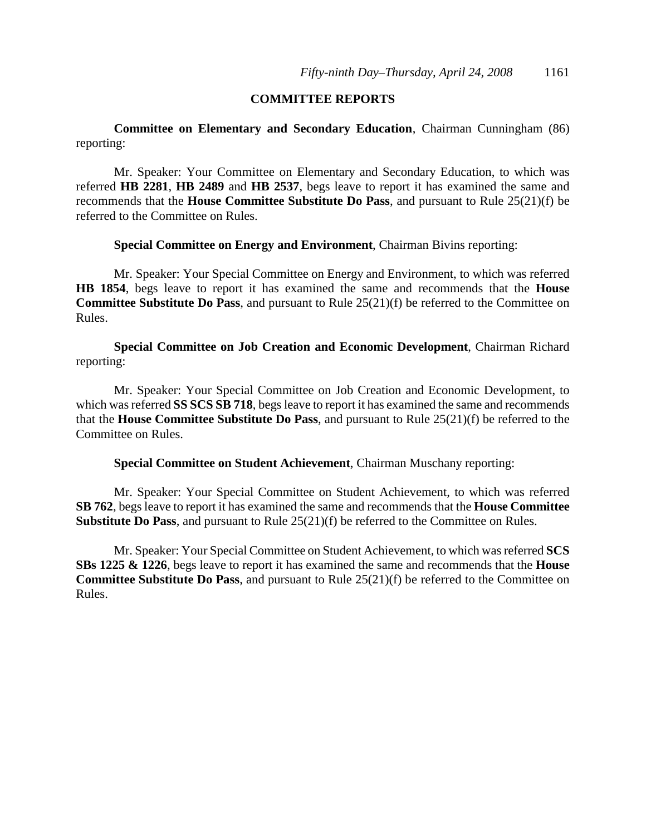### **COMMITTEE REPORTS**

**Committee on Elementary and Secondary Education**, Chairman Cunningham (86) reporting:

Mr. Speaker: Your Committee on Elementary and Secondary Education, to which was referred **HB 2281**, **HB 2489** and **HB 2537**, begs leave to report it has examined the same and recommends that the **House Committee Substitute Do Pass**, and pursuant to Rule 25(21)(f) be referred to the Committee on Rules.

**Special Committee on Energy and Environment**, Chairman Bivins reporting:

Mr. Speaker: Your Special Committee on Energy and Environment, to which was referred **HB 1854**, begs leave to report it has examined the same and recommends that the **House Committee Substitute Do Pass**, and pursuant to Rule 25(21)(f) be referred to the Committee on Rules.

**Special Committee on Job Creation and Economic Development**, Chairman Richard reporting:

Mr. Speaker: Your Special Committee on Job Creation and Economic Development, to which was referred **SS SCS SB 718**, begs leave to report it has examined the same and recommends that the **House Committee Substitute Do Pass**, and pursuant to Rule 25(21)(f) be referred to the Committee on Rules.

**Special Committee on Student Achievement**, Chairman Muschany reporting:

Mr. Speaker: Your Special Committee on Student Achievement, to which was referred **SB 762**, begs leave to report it has examined the same and recommends that the **House Committee Substitute Do Pass**, and pursuant to Rule 25(21)(f) be referred to the Committee on Rules.

Mr. Speaker: Your Special Committee on Student Achievement, to which was referred **SCS SBs 1225 & 1226**, begs leave to report it has examined the same and recommends that the **House Committee Substitute Do Pass**, and pursuant to Rule 25(21)(f) be referred to the Committee on Rules.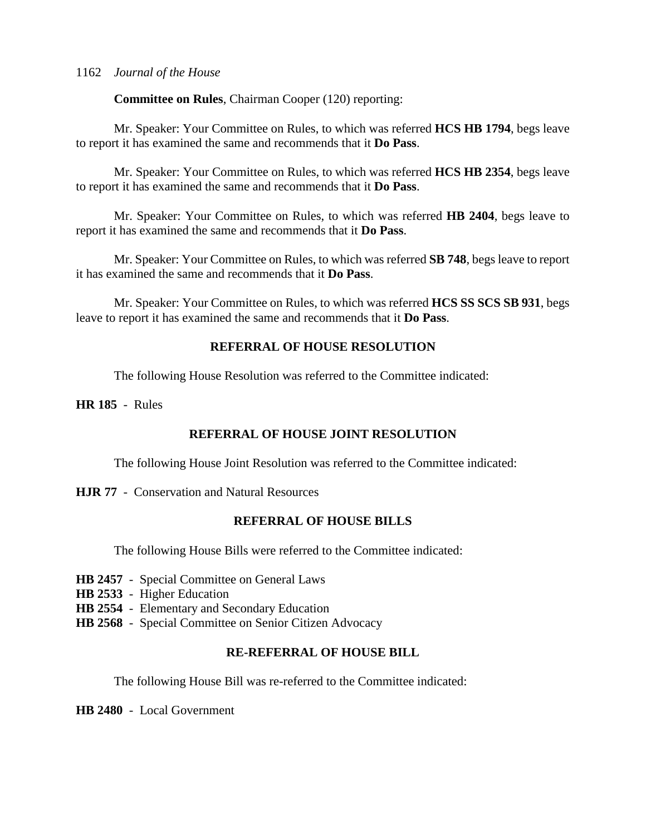**Committee on Rules**, Chairman Cooper (120) reporting:

Mr. Speaker: Your Committee on Rules, to which was referred **HCS HB 1794**, begs leave to report it has examined the same and recommends that it **Do Pass**.

Mr. Speaker: Your Committee on Rules, to which was referred **HCS HB 2354**, begs leave to report it has examined the same and recommends that it **Do Pass**.

Mr. Speaker: Your Committee on Rules, to which was referred **HB 2404**, begs leave to report it has examined the same and recommends that it **Do Pass**.

Mr. Speaker: Your Committee on Rules, to which was referred **SB 748**, begs leave to report it has examined the same and recommends that it **Do Pass**.

Mr. Speaker: Your Committee on Rules, to which was referred **HCS SS SCS SB 931**, begs leave to report it has examined the same and recommends that it **Do Pass**.

### **REFERRAL OF HOUSE RESOLUTION**

The following House Resolution was referred to the Committee indicated:

**HR 185** - Rules

### **REFERRAL OF HOUSE JOINT RESOLUTION**

The following House Joint Resolution was referred to the Committee indicated:

**HJR 77** - Conservation and Natural Resources

### **REFERRAL OF HOUSE BILLS**

The following House Bills were referred to the Committee indicated:

- **HB 2457** Special Committee on General Laws
- **HB 2533** Higher Education
- **HB 2554** Elementary and Secondary Education
- **HB 2568** Special Committee on Senior Citizen Advocacy

### **RE-REFERRAL OF HOUSE BILL**

The following House Bill was re-referred to the Committee indicated:

**HB 2480** - Local Government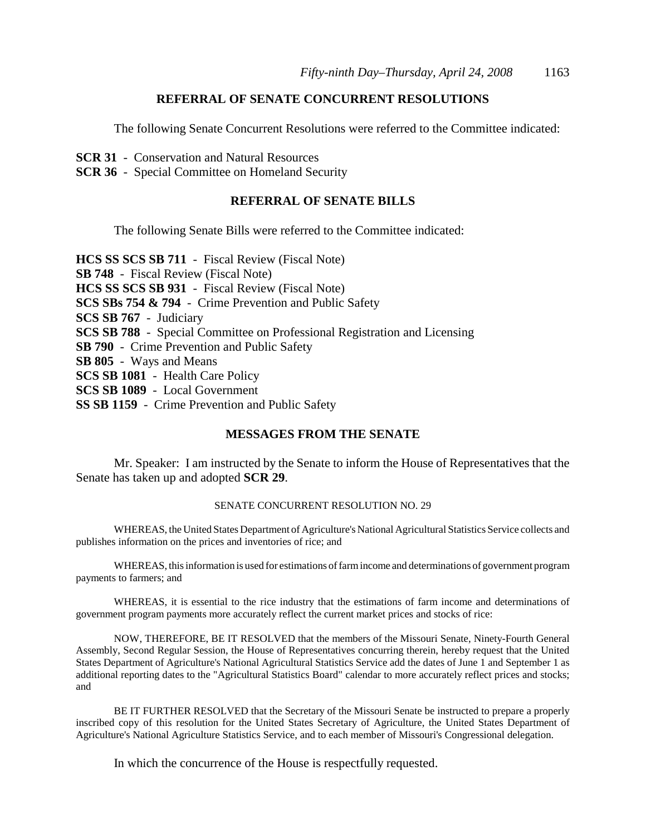### **REFERRAL OF SENATE CONCURRENT RESOLUTIONS**

The following Senate Concurrent Resolutions were referred to the Committee indicated:

- **SCR 31** Conservation and Natural Resources
- **SCR 36** Special Committee on Homeland Security

#### **REFERRAL OF SENATE BILLS**

The following Senate Bills were referred to the Committee indicated:

**HCS SS SCS SB 711** - Fiscal Review (Fiscal Note) **SB 748** - Fiscal Review (Fiscal Note) **HCS SS SCS SB 931** - Fiscal Review (Fiscal Note) **SCS SBs 754 & 794** - Crime Prevention and Public Safety **SCS SB 767** - Judiciary **SCS SB 788** - Special Committee on Professional Registration and Licensing **SB 790** - Crime Prevention and Public Safety **SB 805** - Ways and Means **SCS SB 1081** - Health Care Policy **SCS SB 1089** - Local Government **SS SB 1159** - Crime Prevention and Public Safety

### **MESSAGES FROM THE SENATE**

Mr. Speaker: I am instructed by the Senate to inform the House of Representatives that the Senate has taken up and adopted **SCR 29**.

### SENATE CONCURRENT RESOLUTION NO. 29

WHEREAS, the United States Department of Agriculture's National Agricultural Statistics Service collects and publishes information on the prices and inventories of rice; and

WHEREAS, this information is used for estimations of farm income and determinations of government program payments to farmers; and

WHEREAS, it is essential to the rice industry that the estimations of farm income and determinations of government program payments more accurately reflect the current market prices and stocks of rice:

NOW, THEREFORE, BE IT RESOLVED that the members of the Missouri Senate, Ninety-Fourth General Assembly, Second Regular Session, the House of Representatives concurring therein, hereby request that the United States Department of Agriculture's National Agricultural Statistics Service add the dates of June 1 and September 1 as additional reporting dates to the "Agricultural Statistics Board" calendar to more accurately reflect prices and stocks; and

BE IT FURTHER RESOLVED that the Secretary of the Missouri Senate be instructed to prepare a properly inscribed copy of this resolution for the United States Secretary of Agriculture, the United States Department of Agriculture's National Agriculture Statistics Service, and to each member of Missouri's Congressional delegation.

In which the concurrence of the House is respectfully requested.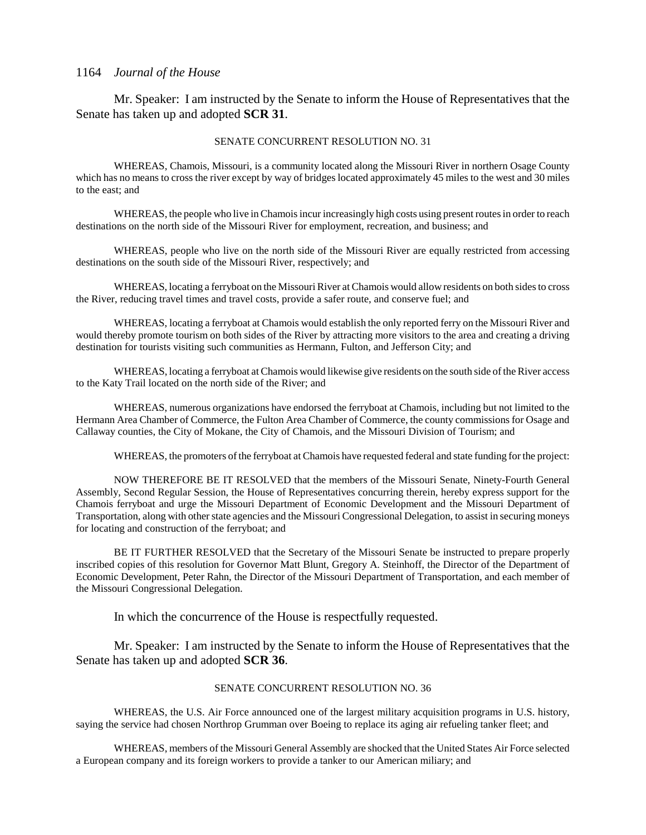Mr. Speaker: I am instructed by the Senate to inform the House of Representatives that the Senate has taken up and adopted **SCR 31**.

#### SENATE CONCURRENT RESOLUTION NO. 31

WHEREAS, Chamois, Missouri, is a community located along the Missouri River in northern Osage County which has no means to cross the river except by way of bridges located approximately 45 miles to the west and 30 miles to the east; and

WHEREAS, the people who live in Chamois incur increasingly high costs using present routes in order to reach destinations on the north side of the Missouri River for employment, recreation, and business; and

WHEREAS, people who live on the north side of the Missouri River are equally restricted from accessing destinations on the south side of the Missouri River, respectively; and

WHEREAS, locating a ferryboat on the Missouri River at Chamois would allow residents on both sides to cross the River, reducing travel times and travel costs, provide a safer route, and conserve fuel; and

WHEREAS, locating a ferryboat at Chamois would establish the only reported ferry on the Missouri River and would thereby promote tourism on both sides of the River by attracting more visitors to the area and creating a driving destination for tourists visiting such communities as Hermann, Fulton, and Jefferson City; and

WHEREAS, locating a ferryboat at Chamois would likewise give residents on the south side of the River access to the Katy Trail located on the north side of the River; and

WHEREAS, numerous organizations have endorsed the ferryboat at Chamois, including but not limited to the Hermann Area Chamber of Commerce, the Fulton Area Chamber of Commerce, the county commissions for Osage and Callaway counties, the City of Mokane, the City of Chamois, and the Missouri Division of Tourism; and

WHEREAS, the promoters of the ferryboat at Chamois have requested federal and state funding for the project:

NOW THEREFORE BE IT RESOLVED that the members of the Missouri Senate, Ninety-Fourth General Assembly, Second Regular Session, the House of Representatives concurring therein, hereby express support for the Chamois ferryboat and urge the Missouri Department of Economic Development and the Missouri Department of Transportation, along with other state agencies and the Missouri Congressional Delegation, to assist in securing moneys for locating and construction of the ferryboat; and

BE IT FURTHER RESOLVED that the Secretary of the Missouri Senate be instructed to prepare properly inscribed copies of this resolution for Governor Matt Blunt, Gregory A. Steinhoff, the Director of the Department of Economic Development, Peter Rahn, the Director of the Missouri Department of Transportation, and each member of the Missouri Congressional Delegation.

In which the concurrence of the House is respectfully requested.

Mr. Speaker: I am instructed by the Senate to inform the House of Representatives that the Senate has taken up and adopted **SCR 36**.

#### SENATE CONCURRENT RESOLUTION NO. 36

WHEREAS, the U.S. Air Force announced one of the largest military acquisition programs in U.S. history, saying the service had chosen Northrop Grumman over Boeing to replace its aging air refueling tanker fleet; and

WHEREAS, members of the Missouri General Assembly are shocked that the United States Air Force selected a European company and its foreign workers to provide a tanker to our American miliary; and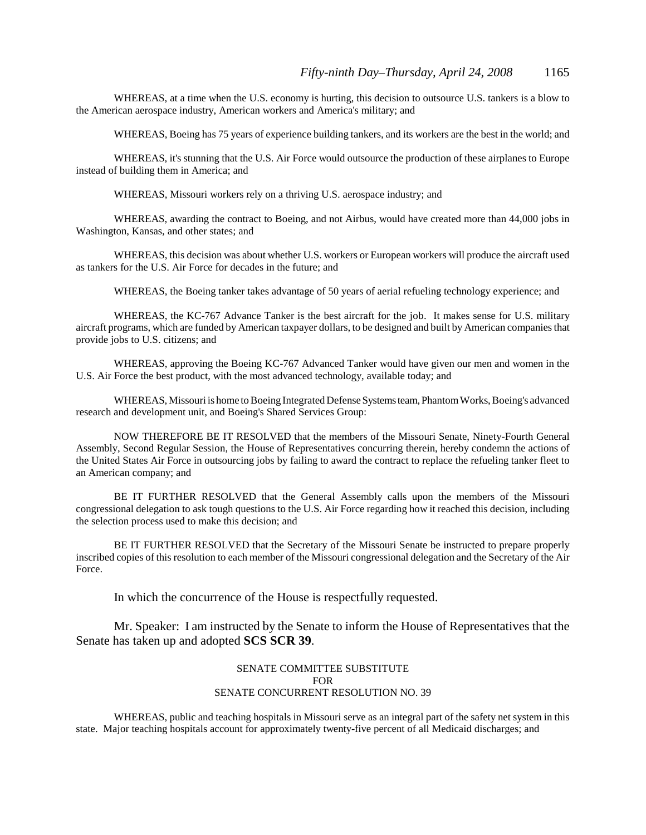WHEREAS, at a time when the U.S. economy is hurting, this decision to outsource U.S. tankers is a blow to the American aerospace industry, American workers and America's military; and

WHEREAS, Boeing has 75 years of experience building tankers, and its workers are the best in the world; and

WHEREAS, it's stunning that the U.S. Air Force would outsource the production of these airplanes to Europe instead of building them in America; and

WHEREAS, Missouri workers rely on a thriving U.S. aerospace industry; and

WHEREAS, awarding the contract to Boeing, and not Airbus, would have created more than 44,000 jobs in Washington, Kansas, and other states; and

WHEREAS, this decision was about whether U.S. workers or European workers will produce the aircraft used as tankers for the U.S. Air Force for decades in the future; and

WHEREAS, the Boeing tanker takes advantage of 50 years of aerial refueling technology experience; and

WHEREAS, the KC-767 Advance Tanker is the best aircraft for the job. It makes sense for U.S. military aircraft programs, which are funded by American taxpayer dollars, to be designed and built by American companies that provide jobs to U.S. citizens; and

WHEREAS, approving the Boeing KC-767 Advanced Tanker would have given our men and women in the U.S. Air Force the best product, with the most advanced technology, available today; and

WHEREAS, Missouri is home to Boeing Integrated Defense Systems team, Phantom Works, Boeing's advanced research and development unit, and Boeing's Shared Services Group:

NOW THEREFORE BE IT RESOLVED that the members of the Missouri Senate, Ninety-Fourth General Assembly, Second Regular Session, the House of Representatives concurring therein, hereby condemn the actions of the United States Air Force in outsourcing jobs by failing to award the contract to replace the refueling tanker fleet to an American company; and

BE IT FURTHER RESOLVED that the General Assembly calls upon the members of the Missouri congressional delegation to ask tough questions to the U.S. Air Force regarding how it reached this decision, including the selection process used to make this decision; and

BE IT FURTHER RESOLVED that the Secretary of the Missouri Senate be instructed to prepare properly inscribed copies of this resolution to each member of the Missouri congressional delegation and the Secretary of the Air Force.

In which the concurrence of the House is respectfully requested.

Mr. Speaker: I am instructed by the Senate to inform the House of Representatives that the Senate has taken up and adopted **SCS SCR 39**.

#### SENATE COMMITTEE SUBSTITUTE FOR SENATE CONCURRENT RESOLUTION NO. 39

WHEREAS, public and teaching hospitals in Missouri serve as an integral part of the safety net system in this state. Major teaching hospitals account for approximately twenty-five percent of all Medicaid discharges; and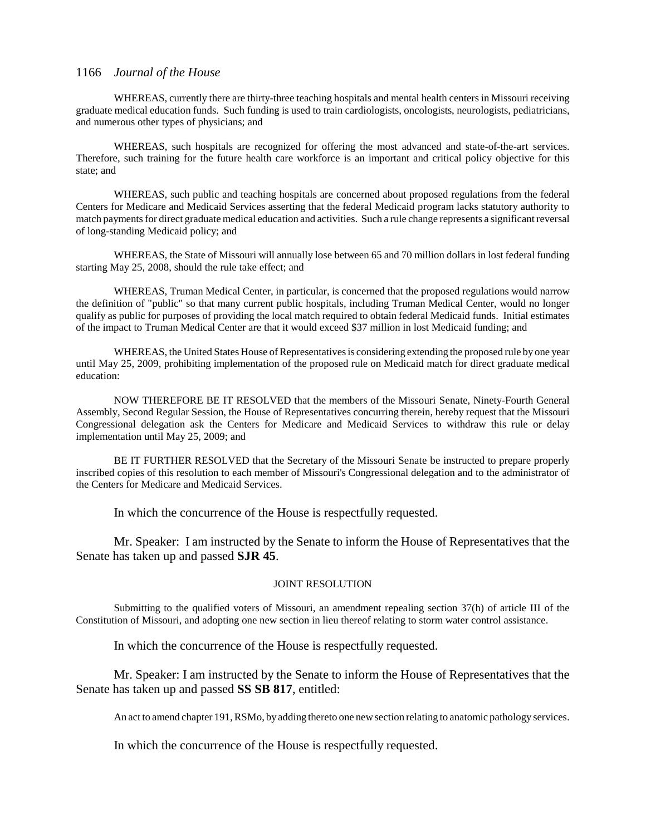WHEREAS, currently there are thirty-three teaching hospitals and mental health centers in Missouri receiving graduate medical education funds. Such funding is used to train cardiologists, oncologists, neurologists, pediatricians, and numerous other types of physicians; and

WHEREAS, such hospitals are recognized for offering the most advanced and state-of-the-art services. Therefore, such training for the future health care workforce is an important and critical policy objective for this state; and

WHEREAS, such public and teaching hospitals are concerned about proposed regulations from the federal Centers for Medicare and Medicaid Services asserting that the federal Medicaid program lacks statutory authority to match payments for direct graduate medical education and activities. Such a rule change represents a significant reversal of long-standing Medicaid policy; and

WHEREAS, the State of Missouri will annually lose between 65 and 70 million dollars in lost federal funding starting May 25, 2008, should the rule take effect; and

WHEREAS, Truman Medical Center, in particular, is concerned that the proposed regulations would narrow the definition of "public" so that many current public hospitals, including Truman Medical Center, would no longer qualify as public for purposes of providing the local match required to obtain federal Medicaid funds. Initial estimates of the impact to Truman Medical Center are that it would exceed \$37 million in lost Medicaid funding; and

WHEREAS, the United States House of Representatives is considering extending the proposed rule by one year until May 25, 2009, prohibiting implementation of the proposed rule on Medicaid match for direct graduate medical education:

NOW THEREFORE BE IT RESOLVED that the members of the Missouri Senate, Ninety-Fourth General Assembly, Second Regular Session, the House of Representatives concurring therein, hereby request that the Missouri Congressional delegation ask the Centers for Medicare and Medicaid Services to withdraw this rule or delay implementation until May 25, 2009; and

BE IT FURTHER RESOLVED that the Secretary of the Missouri Senate be instructed to prepare properly inscribed copies of this resolution to each member of Missouri's Congressional delegation and to the administrator of the Centers for Medicare and Medicaid Services.

In which the concurrence of the House is respectfully requested.

Mr. Speaker: I am instructed by the Senate to inform the House of Representatives that the Senate has taken up and passed **SJR 45**.

#### JOINT RESOLUTION

Submitting to the qualified voters of Missouri, an amendment repealing section 37(h) of article III of the Constitution of Missouri, and adopting one new section in lieu thereof relating to storm water control assistance.

In which the concurrence of the House is respectfully requested.

Mr. Speaker: I am instructed by the Senate to inform the House of Representatives that the Senate has taken up and passed **SS SB 817**, entitled:

An act to amend chapter 191, RSMo, by adding thereto one new section relating to anatomic pathology services.

In which the concurrence of the House is respectfully requested.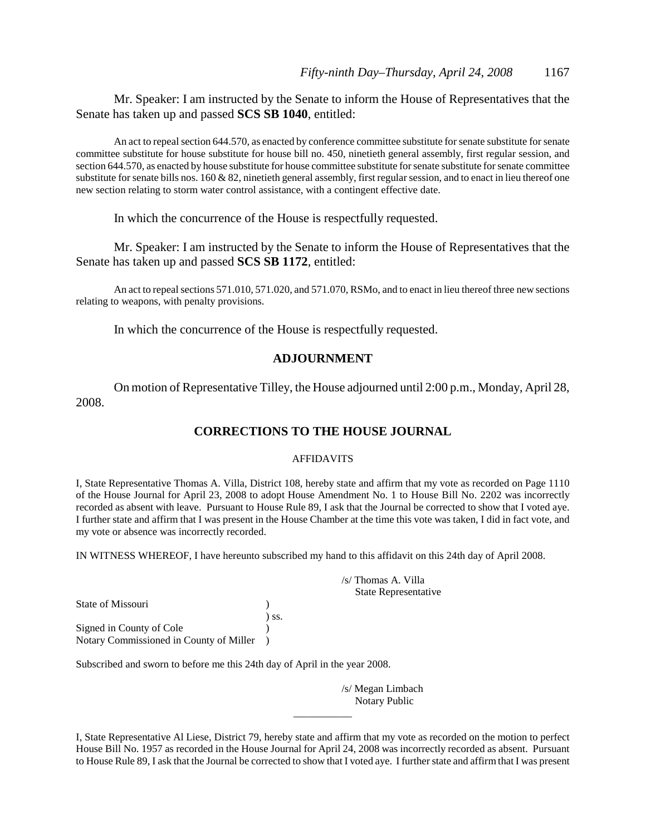Mr. Speaker: I am instructed by the Senate to inform the House of Representatives that the Senate has taken up and passed **SCS SB 1040**, entitled:

An act to repeal section 644.570, as enacted by conference committee substitute for senate substitute for senate committee substitute for house substitute for house bill no. 450, ninetieth general assembly, first regular session, and section 644.570, as enacted by house substitute for house committee substitute for senate substitute for senate committee substitute for senate bills nos. 160 & 82, ninetieth general assembly, first regular session, and to enact in lieu thereof one new section relating to storm water control assistance, with a contingent effective date.

In which the concurrence of the House is respectfully requested.

Mr. Speaker: I am instructed by the Senate to inform the House of Representatives that the Senate has taken up and passed **SCS SB 1172**, entitled:

An act to repeal sections 571.010, 571.020, and 571.070, RSMo, and to enact in lieu thereof three new sections relating to weapons, with penalty provisions.

In which the concurrence of the House is respectfully requested.

#### **ADJOURNMENT**

On motion of Representative Tilley, the House adjourned until 2:00 p.m., Monday, April 28, 2008.

### **CORRECTIONS TO THE HOUSE JOURNAL**

#### AFFIDAVITS

I, State Representative Thomas A. Villa, District 108, hereby state and affirm that my vote as recorded on Page 1110 of the House Journal for April 23, 2008 to adopt House Amendment No. 1 to House Bill No. 2202 was incorrectly recorded as absent with leave. Pursuant to House Rule 89, I ask that the Journal be corrected to show that I voted aye. I further state and affirm that I was present in the House Chamber at the time this vote was taken, I did in fact vote, and my vote or absence was incorrectly recorded.

IN WITNESS WHEREOF, I have hereunto subscribed my hand to this affidavit on this 24th day of April 2008.

| State of Missouri                                                   |            |
|---------------------------------------------------------------------|------------|
| Signed in County of Cole<br>Notary Commissioned in County of Miller | $\sum$ SS. |

Subscribed and sworn to before me this 24th day of April in the year 2008.

/s/ Megan Limbach Notary Public

/s/ Thomas A. Villa State Representative

I, State Representative Al Liese, District 79, hereby state and affirm that my vote as recorded on the motion to perfect House Bill No. 1957 as recorded in the House Journal for April 24, 2008 was incorrectly recorded as absent. Pursuant to House Rule 89, I ask that the Journal be corrected to show that I voted aye. I further state and affirm that I was present

\_\_\_\_\_\_\_\_\_\_\_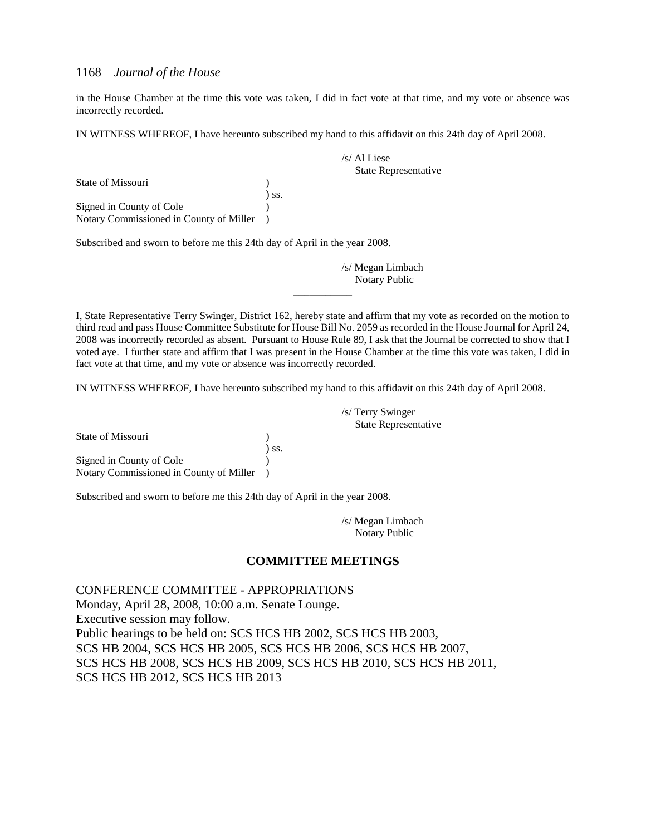in the House Chamber at the time this vote was taken, I did in fact vote at that time, and my vote or absence was incorrectly recorded.

IN WITNESS WHEREOF, I have hereunto subscribed my hand to this affidavit on this 24th day of April 2008.

State of Missouri (1988) ) ss. Signed in County of Cole (1) Notary Commissioned in County of Miller )

Subscribed and sworn to before me this 24th day of April in the year 2008.

/s/ Megan Limbach Notary Public

/s/ Al Liese

State Representative

I, State Representative Terry Swinger, District 162, hereby state and affirm that my vote as recorded on the motion to third read and pass House Committee Substitute for House Bill No. 2059 as recorded in the House Journal for April 24, 2008 was incorrectly recorded as absent. Pursuant to House Rule 89, I ask that the Journal be corrected to show that I voted aye. I further state and affirm that I was present in the House Chamber at the time this vote was taken, I did in fact vote at that time, and my vote or absence was incorrectly recorded.

\_\_\_\_\_\_\_\_\_\_\_

IN WITNESS WHEREOF, I have hereunto subscribed my hand to this affidavit on this 24th day of April 2008.

| State of Missouri                       |            |
|-----------------------------------------|------------|
|                                         | $\sum$ SS. |
| Signed in County of Cole                |            |
| Notary Commissioned in County of Miller |            |

Subscribed and sworn to before me this 24th day of April in the year 2008.

/s/ Megan Limbach Notary Public

/s/ Terry Swinger

State Representative

#### **COMMITTEE MEETINGS**

CONFERENCE COMMITTEE - APPROPRIATIONS Monday, April 28, 2008, 10:00 a.m. Senate Lounge. Executive session may follow. Public hearings to be held on: SCS HCS HB 2002, SCS HCS HB 2003, SCS HB 2004, SCS HCS HB 2005, SCS HCS HB 2006, SCS HCS HB 2007, SCS HCS HB 2008, SCS HCS HB 2009, SCS HCS HB 2010, SCS HCS HB 2011, SCS HCS HB 2012, SCS HCS HB 2013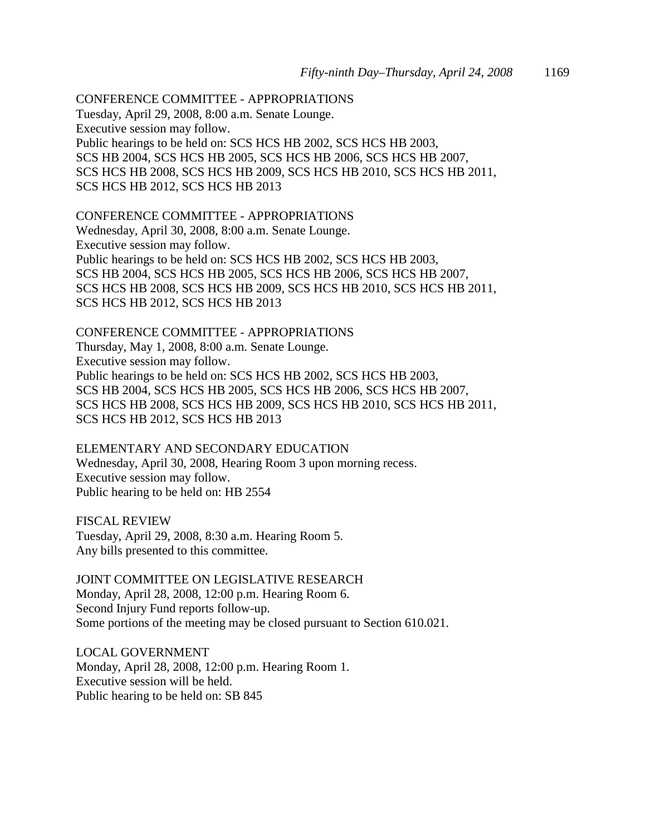CONFERENCE COMMITTEE - APPROPRIATIONS Tuesday, April 29, 2008, 8:00 a.m. Senate Lounge. Executive session may follow. Public hearings to be held on: SCS HCS HB 2002, SCS HCS HB 2003, SCS HB 2004, SCS HCS HB 2005, SCS HCS HB 2006, SCS HCS HB 2007, SCS HCS HB 2008, SCS HCS HB 2009, SCS HCS HB 2010, SCS HCS HB 2011, SCS HCS HB 2012, SCS HCS HB 2013

CONFERENCE COMMITTEE - APPROPRIATIONS Wednesday, April 30, 2008, 8:00 a.m. Senate Lounge. Executive session may follow. Public hearings to be held on: SCS HCS HB 2002, SCS HCS HB 2003, SCS HB 2004, SCS HCS HB 2005, SCS HCS HB 2006, SCS HCS HB 2007, SCS HCS HB 2008, SCS HCS HB 2009, SCS HCS HB 2010, SCS HCS HB 2011, SCS HCS HB 2012, SCS HCS HB 2013

CONFERENCE COMMITTEE - APPROPRIATIONS

Thursday, May 1, 2008, 8:00 a.m. Senate Lounge. Executive session may follow. Public hearings to be held on: SCS HCS HB 2002, SCS HCS HB 2003, SCS HB 2004, SCS HCS HB 2005, SCS HCS HB 2006, SCS HCS HB 2007, SCS HCS HB 2008, SCS HCS HB 2009, SCS HCS HB 2010, SCS HCS HB 2011, SCS HCS HB 2012, SCS HCS HB 2013

ELEMENTARY AND SECONDARY EDUCATION Wednesday, April 30, 2008, Hearing Room 3 upon morning recess. Executive session may follow. Public hearing to be held on: HB 2554

FISCAL REVIEW Tuesday, April 29, 2008, 8:30 a.m. Hearing Room 5. Any bills presented to this committee.

JOINT COMMITTEE ON LEGISLATIVE RESEARCH Monday, April 28, 2008, 12:00 p.m. Hearing Room 6. Second Injury Fund reports follow-up. Some portions of the meeting may be closed pursuant to Section 610.021.

LOCAL GOVERNMENT Monday, April 28, 2008, 12:00 p.m. Hearing Room 1. Executive session will be held. Public hearing to be held on: SB 845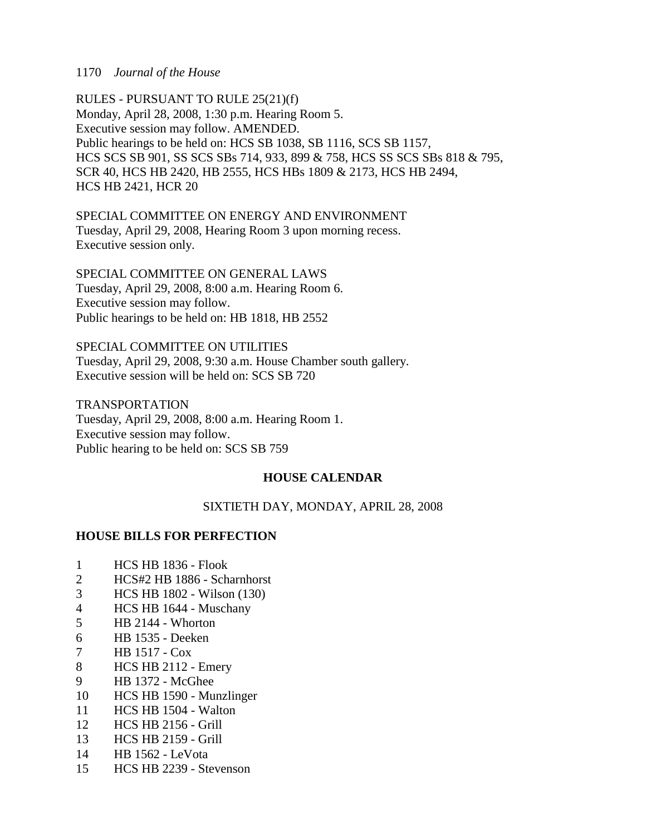RULES - PURSUANT TO RULE 25(21)(f) Monday, April 28, 2008, 1:30 p.m. Hearing Room 5. Executive session may follow. AMENDED. Public hearings to be held on: HCS SB 1038, SB 1116, SCS SB 1157, HCS SCS SB 901, SS SCS SBs 714, 933, 899 & 758, HCS SS SCS SBs 818 & 795, SCR 40, HCS HB 2420, HB 2555, HCS HBs 1809 & 2173, HCS HB 2494, HCS HB 2421, HCR 20

SPECIAL COMMITTEE ON ENERGY AND ENVIRONMENT Tuesday, April 29, 2008, Hearing Room 3 upon morning recess. Executive session only.

SPECIAL COMMITTEE ON GENERAL LAWS Tuesday, April 29, 2008, 8:00 a.m. Hearing Room 6. Executive session may follow. Public hearings to be held on: HB 1818, HB 2552

SPECIAL COMMITTEE ON UTILITIES Tuesday, April 29, 2008, 9:30 a.m. House Chamber south gallery. Executive session will be held on: SCS SB 720

TRANSPORTATION Tuesday, April 29, 2008, 8:00 a.m. Hearing Room 1. Executive session may follow. Public hearing to be held on: SCS SB 759

### **HOUSE CALENDAR**

SIXTIETH DAY, MONDAY, APRIL 28, 2008

### **HOUSE BILLS FOR PERFECTION**

- 1 HCS HB 1836 Flook
- 2 HCS#2 HB 1886 Scharnhorst
- 3 HCS HB 1802 Wilson (130)
- 4 HCS HB 1644 Muschany
- 5 HB 2144 Whorton
- 6 HB 1535 Deeken
- 7 HB 1517 Cox
- 8 HCS HB 2112 Emery
- 9 HB 1372 McGhee
- 10 HCS HB 1590 Munzlinger
- 11 HCS HB 1504 Walton
- 12 HCS HB 2156 Grill
- 13 HCS HB 2159 Grill
- 14 HB 1562 LeVota
- 15 HCS HB 2239 Stevenson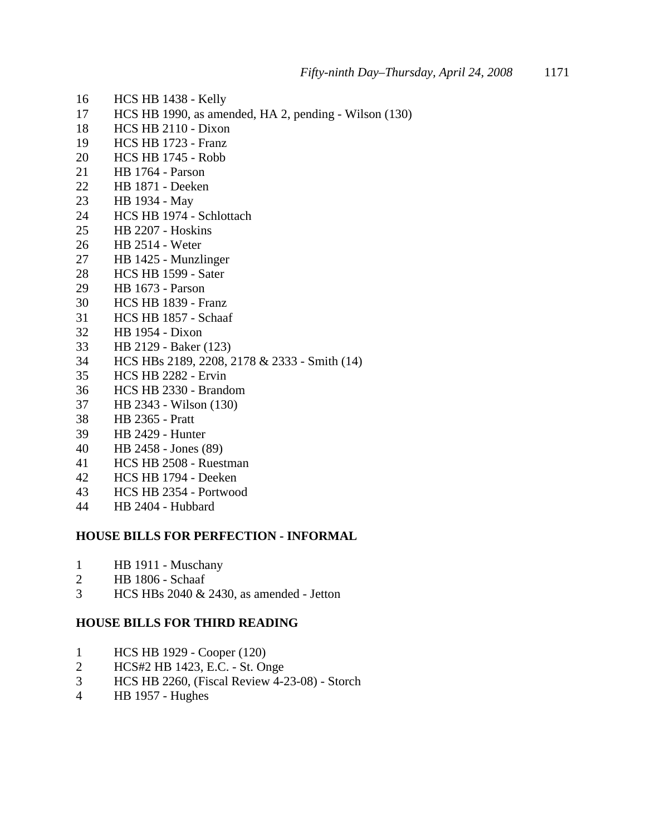- 16 HCS HB 1438 Kelly
- 17 HCS HB 1990, as amended, HA 2, pending Wilson (130)
- 18 HCS HB 2110 Dixon
- 19 HCS HB 1723 Franz
- 20 HCS HB 1745 Robb
- 21 HB 1764 Parson
- 22 HB 1871 Deeken
- 23 HB 1934 May
- 24 HCS HB 1974 Schlottach
- 25 HB 2207 Hoskins
- 26 HB 2514 Weter
- 27 HB 1425 Munzlinger
- 28 HCS HB 1599 Sater
- 29 HB 1673 Parson
- 30 HCS HB 1839 Franz
- 31 HCS HB 1857 Schaaf
- 32 HB 1954 Dixon
- 33 HB 2129 Baker (123)
- 34 HCS HBs 2189, 2208, 2178 & 2333 Smith (14)
- 35 HCS HB 2282 Ervin
- 36 HCS HB 2330 Brandom
- 37 HB 2343 Wilson (130)
- 38 HB 2365 Pratt
- 39 HB 2429 Hunter
- 40 HB 2458 Jones (89)
- 41 HCS HB 2508 Ruestman
- 42 HCS HB 1794 Deeken
- 43 HCS HB 2354 Portwood
- 44 HB 2404 Hubbard

#### **HOUSE BILLS FOR PERFECTION - INFORMAL**

- 1 HB 1911 Muschany
- 2 HB 1806 Schaaf
- 3 HCS HBs 2040 & 2430, as amended Jetton

### **HOUSE BILLS FOR THIRD READING**

- 1 HCS HB 1929 Cooper (120)
- 2 HCS#2 HB 1423, E.C. St. Onge
- 3 HCS HB 2260, (Fiscal Review 4-23-08) Storch
- 4 HB 1957 Hughes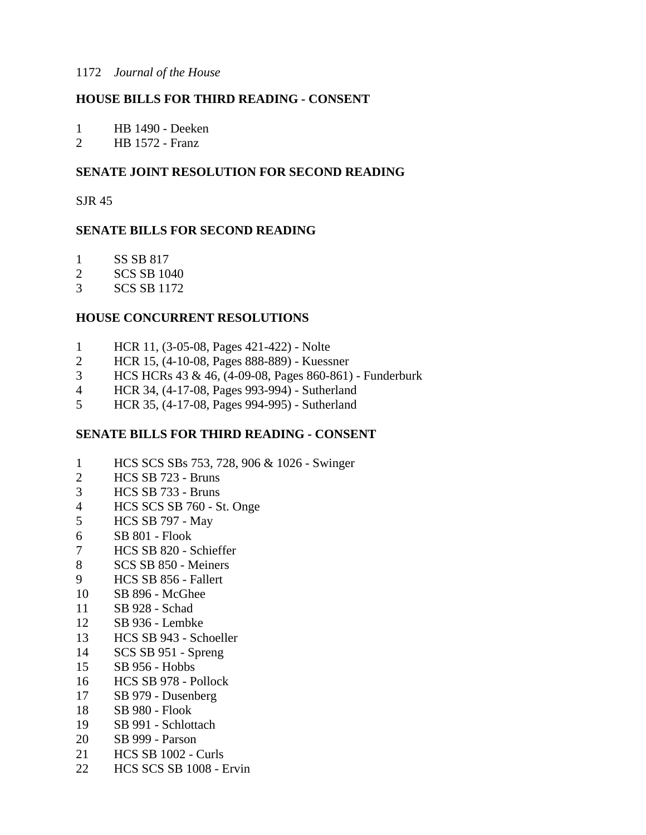### **HOUSE BILLS FOR THIRD READING - CONSENT**

1 HB 1490 - Deeken

2 HB 1572 - Franz

### **SENATE JOINT RESOLUTION FOR SECOND READING**

SJR 45

### **SENATE BILLS FOR SECOND READING**

- 1 SS SB 817
- 2 SCS SB 1040
- 3 SCS SB 1172

### **HOUSE CONCURRENT RESOLUTIONS**

- 1 HCR 11, (3-05-08, Pages 421-422) Nolte
- 2 HCR 15, (4-10-08, Pages 888-889) Kuessner
- 3 HCS HCRs 43 & 46, (4-09-08, Pages 860-861) Funderburk
- 4 HCR 34, (4-17-08, Pages 993-994) Sutherland
- 5 HCR 35, (4-17-08, Pages 994-995) Sutherland

### **SENATE BILLS FOR THIRD READING - CONSENT**

- 1 HCS SCS SBs 753, 728, 906 & 1026 Swinger
- 2 HCS SB 723 Bruns
- 3 HCS SB 733 Bruns
- 4 HCS SCS SB 760 St. Onge
- 5 HCS SB 797 May
- 6 SB 801 Flook
- 7 HCS SB 820 Schieffer
- 8 SCS SB 850 Meiners
- 9 HCS SB 856 Fallert
- 10 SB 896 McGhee
- 11 SB 928 Schad
- 12 SB 936 Lembke
- 13 HCS SB 943 Schoeller
- 14 SCS SB 951 Spreng
- 15 SB 956 Hobbs
- 16 HCS SB 978 Pollock
- 17 SB 979 Dusenberg
- 18 SB 980 Flook
- 19 SB 991 Schlottach
- 20 SB 999 Parson
- 21 HCS SB 1002 Curls
- 22 HCS SCS SB 1008 Ervin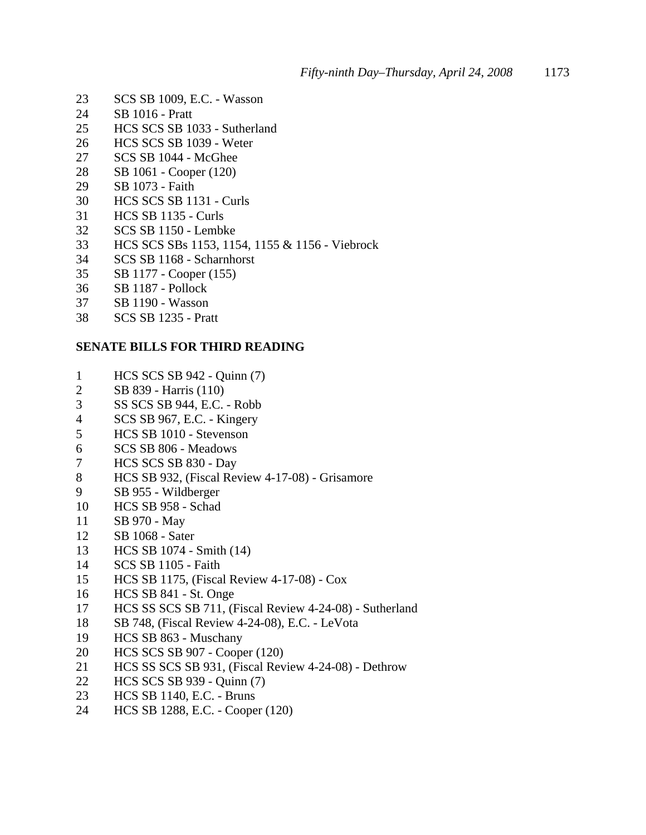- 23 SCS SB 1009, E.C. Wasson
- 24 SB 1016 Pratt
- 25 HCS SCS SB 1033 Sutherland
- 26 HCS SCS SB 1039 Weter
- 27 SCS SB 1044 McGhee
- 28 SB 1061 Cooper (120)
- 29 SB 1073 Faith
- 30 HCS SCS SB 1131 Curls
- 31 HCS SB 1135 Curls
- 32 SCS SB 1150 Lembke
- 33 HCS SCS SBs 1153, 1154, 1155 & 1156 Viebrock
- 34 SCS SB 1168 Scharnhorst
- 35 SB 1177 Cooper (155)
- 36 SB 1187 Pollock
- 37 SB 1190 Wasson
- 38 SCS SB 1235 Pratt

### **SENATE BILLS FOR THIRD READING**

- 1 HCS SCS SB 942 Quinn (7)
- 2 SB 839 Harris (110)
- 3 SS SCS SB 944, E.C. Robb
- 4 SCS SB 967, E.C. Kingery
- 5 HCS SB 1010 Stevenson
- 6 SCS SB 806 Meadows
- 7 HCS SCS SB 830 Day
- 8 HCS SB 932, (Fiscal Review 4-17-08) Grisamore
- 9 SB 955 Wildberger
- 10 HCS SB 958 Schad
- 11 SB 970 May
- 12 SB 1068 Sater
- 13 HCS SB 1074 Smith (14)
- 14 SCS SB 1105 Faith
- 15 HCS SB 1175, (Fiscal Review 4-17-08) Cox
- 16 HCS SB 841 St. Onge
- 17 HCS SS SCS SB 711, (Fiscal Review 4-24-08) Sutherland
- 18 SB 748, (Fiscal Review 4-24-08), E.C. LeVota
- 19 HCS SB 863 Muschany
- 20 HCS SCS SB 907 Cooper (120)
- 21 HCS SS SCS SB 931, (Fiscal Review 4-24-08) Dethrow
- 22 HCS SCS SB 939 Quinn (7)
- 23 HCS SB 1140, E.C. Bruns
- 24 HCS SB 1288, E.C. Cooper (120)